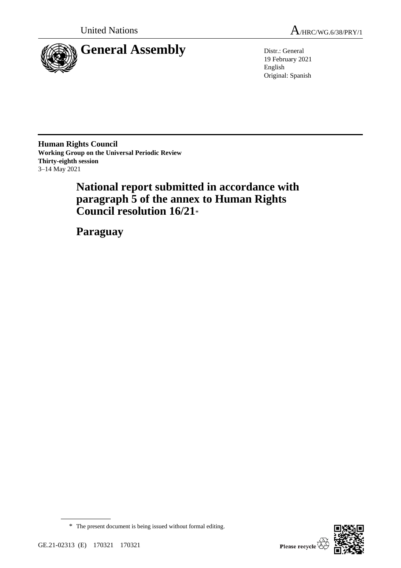

19 February 2021 English Original: Spanish

**Human Rights Council Working Group on the Universal Periodic Review Thirty-eighth session** 3–14 May 2021

> **National report submitted in accordance with paragraph 5 of the annex to Human Rights Council resolution 16/21**\*

**Paraguay**



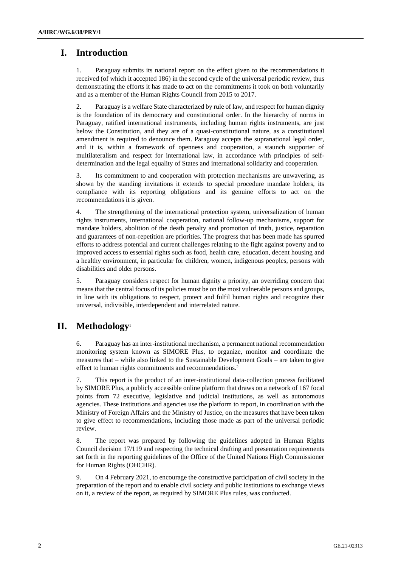# **I. Introduction**

1. Paraguay submits its national report on the effect given to the recommendations it received (of which it accepted 186) in the second cycle of the universal periodic review, thus demonstrating the efforts it has made to act on the commitments it took on both voluntarily and as a member of the Human Rights Council from 2015 to 2017.

2. Paraguay is a welfare State characterized by rule of law, and respect for human dignity is the foundation of its democracy and constitutional order. In the hierarchy of norms in Paraguay, ratified international instruments, including human rights instruments, are just below the Constitution, and they are of a quasi-constitutional nature, as a constitutional amendment is required to denounce them. Paraguay accepts the supranational legal order, and it is, within a framework of openness and cooperation, a staunch supporter of multilateralism and respect for international law, in accordance with principles of selfdetermination and the legal equality of States and international solidarity and cooperation.

3. Its commitment to and cooperation with protection mechanisms are unwavering, as shown by the standing invitations it extends to special procedure mandate holders, its compliance with its reporting obligations and its genuine efforts to act on the recommendations it is given.

4. The strengthening of the international protection system, universalization of human rights instruments, international cooperation, national follow-up mechanisms, support for mandate holders, abolition of the death penalty and promotion of truth, justice, reparation and guarantees of non-repetition are priorities. The progress that has been made has spurred efforts to address potential and current challenges relating to the fight against poverty and to improved access to essential rights such as food, health care, education, decent housing and a healthy environment, in particular for children, women, indigenous peoples, persons with disabilities and older persons.

5. Paraguay considers respect for human dignity a priority, an overriding concern that means that the central focus of its policies must be on the most vulnerable persons and groups, in line with its obligations to respect, protect and fulfil human rights and recognize their universal, indivisible, interdependent and interrelated nature.

# **II. Methodology**<sup>1</sup>

6. Paraguay has an inter-institutional mechanism, a permanent national recommendation monitoring system known as SIMORE Plus, to organize, monitor and coordinate the measures that – while also linked to the Sustainable Development Goals – are taken to give effect to human rights commitments and recommendations.<sup>2</sup>

7. This report is the product of an inter-institutional data-collection process facilitated by SIMORE Plus, a publicly accessible online platform that draws on a network of 167 focal points from 72 executive, legislative and judicial institutions, as well as autonomous agencies. These institutions and agencies use the platform to report, in coordination with the Ministry of Foreign Affairs and the Ministry of Justice, on the measures that have been taken to give effect to recommendations, including those made as part of the universal periodic review.

8. The report was prepared by following the guidelines adopted in Human Rights Council decision 17/119 and respecting the technical drafting and presentation requirements set forth in the reporting guidelines of the Office of the United Nations High Commissioner for Human Rights (OHCHR).

9. On 4 February 2021, to encourage the constructive participation of civil society in the preparation of the report and to enable civil society and public institutions to exchange views on it, a review of the report, as required by SIMORE Plus rules, was conducted.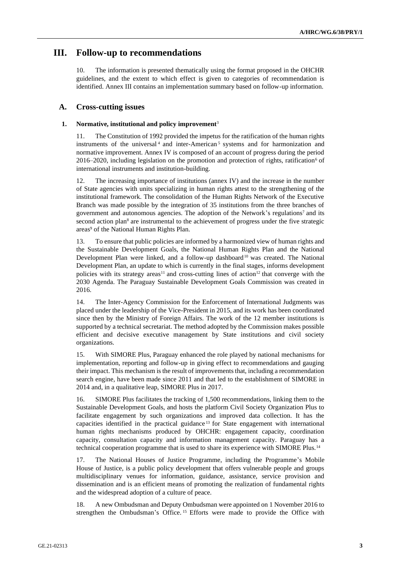# **III. Follow-up to recommendations**

10. The information is presented thematically using the format proposed in the OHCHR guidelines, and the extent to which effect is given to categories of recommendation is identified. Annex III contains an implementation summary based on follow-up information.

# **A. Cross-cutting issues**

## **1. Normative, institutional and policy improvement**<sup>3</sup>

11. The Constitution of 1992 provided the impetus for the ratification of the human rights instruments of the universal<sup>4</sup> and inter-American<sup>5</sup> systems and for harmonization and normative improvement. Annex IV is composed of an account of progress during the period 2016–2020, including legislation on the promotion and protection of rights, ratification<sup>6</sup> of international instruments and institution-building.

12. The increasing importance of institutions (annex IV) and the increase in the number of State agencies with units specializing in human rights attest to the strengthening of the institutional framework. The consolidation of the Human Rights Network of the Executive Branch was made possible by the integration of 35 institutions from the three branches of government and autonomous agencies. The adoption of the Network's regulations<sup>7</sup> and its second action plan<sup>8</sup> are instrumental to the achievement of progress under the five strategic areas<sup>9</sup> of the National Human Rights Plan.

13. To ensure that public policies are informed by a harmonized view of human rights and the Sustainable Development Goals, the National Human Rights Plan and the National Development Plan were linked, and a follow-up dashboard<sup>10</sup> was created. The National Development Plan, an update to which is currently in the final stages, informs development policies with its strategy areas<sup>11</sup> and cross-cutting lines of action<sup>12</sup> that converge with the 2030 Agenda. The Paraguay Sustainable Development Goals Commission was created in 2016.

14. The Inter-Agency Commission for the Enforcement of International Judgments was placed under the leadership of the Vice-President in 2015, and its work has been coordinated since then by the Ministry of Foreign Affairs. The work of the 12 member institutions is supported by a technical secretariat. The method adopted by the Commission makes possible efficient and decisive executive management by State institutions and civil society organizations.

15. With SIMORE Plus, Paraguay enhanced the role played by national mechanisms for implementation, reporting and follow-up in giving effect to recommendations and gauging their impact. This mechanism is the result of improvements that, including a recommendation search engine, have been made since 2011 and that led to the establishment of SIMORE in 2014 and, in a qualitative leap, SIMORE Plus in 2017.

16. SIMORE Plus facilitates the tracking of 1,500 recommendations, linking them to the Sustainable Development Goals, and hosts the platform Civil Society Organization Plus to facilitate engagement by such organizations and improved data collection. It has the capacities identified in the practical guidance <sup>13</sup> for State engagement with international human rights mechanisms produced by OHCHR: engagement capacity, coordination capacity, consultation capacity and information management capacity. Paraguay has a technical cooperation programme that is used to share its experience with SIMORE Plus.<sup>14</sup>

17. The National Houses of Justice Programme, including the Programme's Mobile House of Justice, is a public policy development that offers vulnerable people and groups multidisciplinary venues for information, guidance, assistance, service provision and dissemination and is an efficient means of promoting the realization of fundamental rights and the widespread adoption of a culture of peace.

18. A new Ombudsman and Deputy Ombudsman were appointed on 1 November 2016 to strengthen the Ombudsman's Office. <sup>15</sup> Efforts were made to provide the Office with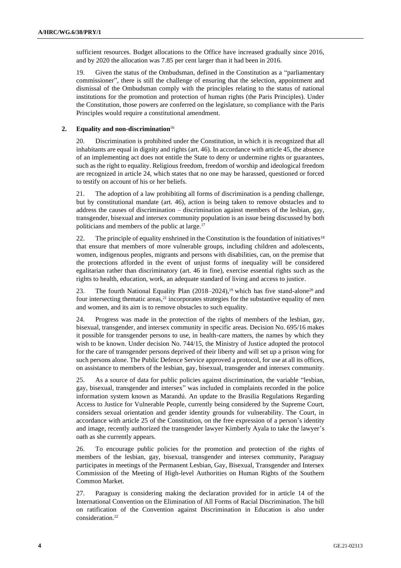sufficient resources. Budget allocations to the Office have increased gradually since 2016, and by 2020 the allocation was 7.85 per cent larger than it had been in 2016.

19. Given the status of the Ombudsman, defined in the Constitution as a "parliamentary commissioner", there is still the challenge of ensuring that the selection, appointment and dismissal of the Ombudsman comply with the principles relating to the status of national institutions for the promotion and protection of human rights (the Paris Principles). Under the Constitution, those powers are conferred on the legislature, so compliance with the Paris Principles would require a constitutional amendment.

## **2. Equality and non-discrimination**<sup>16</sup>

20. Discrimination is prohibited under the Constitution, in which it is recognized that all inhabitants are equal in dignity and rights (art. 46). In accordance with article 45, the absence of an implementing act does not entitle the State to deny or undermine rights or guarantees, such as the right to equality. Religious freedom, freedom of worship and ideological freedom are recognized in article 24, which states that no one may be harassed, questioned or forced to testify on account of his or her beliefs.

21. The adoption of a law prohibiting all forms of discrimination is a pending challenge, but by constitutional mandate (art. 46), action is being taken to remove obstacles and to address the causes of discrimination – discrimination against members of the lesbian, gay, transgender, bisexual and intersex community population is an issue being discussed by both politicians and members of the public at large.<sup>17</sup>

22. The principle of equality enshrined in the Constitution is the foundation of initiatives<sup>18</sup> that ensure that members of more vulnerable groups, including children and adolescents, women, indigenous peoples, migrants and persons with disabilities, can, on the premise that the protections afforded in the event of unjust forms of inequality will be considered egalitarian rather than discriminatory (art. 46 in fine), exercise essential rights such as the rights to health, education, work, an adequate standard of living and access to justice.

23. The fourth National Equality Plan (2018–2024),<sup>19</sup> which has five stand-alone<sup>20</sup> and four intersecting thematic areas,<sup>21</sup> incorporates strategies for the substantive equality of men and women, and its aim is to remove obstacles to such equality.

24. Progress was made in the protection of the rights of members of the lesbian, gay, bisexual, transgender, and intersex community in specific areas. Decision No. 695/16 makes it possible for transgender persons to use, in health-care matters, the names by which they wish to be known. Under decision No. 744/15, the Ministry of Justice adopted the protocol for the care of transgender persons deprived of their liberty and will set up a prison wing for such persons alone. The Public Defence Service approved a protocol, for use at all its offices, on assistance to members of the lesbian, gay, bisexual, transgender and intersex community.

25. As a source of data for public policies against discrimination, the variable "lesbian, gay, bisexual, transgender and intersex" was included in complaints recorded in the police information system known as Marandú. An update to the Brasilia Regulations Regarding Access to Justice for Vulnerable People, currently being considered by the Supreme Court, considers sexual orientation and gender identity grounds for vulnerability. The Court, in accordance with article 25 of the Constitution, on the free expression of a person's identity and image, recently authorized the transgender lawyer Kimberly Ayala to take the lawyer's oath as she currently appears.

26. To encourage public policies for the promotion and protection of the rights of members of the lesbian, gay, bisexual, transgender and intersex community, Paraguay participates in meetings of the Permanent Lesbian, Gay, Bisexual, Transgender and Intersex Commission of the Meeting of High-level Authorities on Human Rights of the Southern Common Market.

27. Paraguay is considering making the declaration provided for in article 14 of the International Convention on the Elimination of All Forms of Racial Discrimination. The bill on ratification of the Convention against Discrimination in Education is also under consideration.22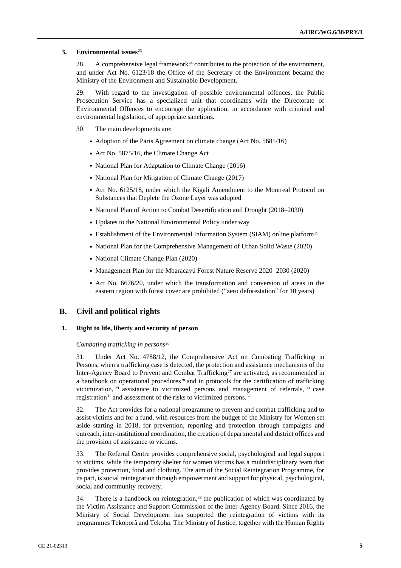## **3. Environmental issues**<sup>23</sup>

28. A comprehensive legal framework<sup>24</sup> contributes to the protection of the environment, and under Act No. 6123/18 the Office of the Secretary of the Environment became the Ministry of the Environment and Sustainable Development.

29. With regard to the investigation of possible environmental offences, the Public Prosecution Service has a specialized unit that coordinates with the Directorate of Environmental Offences to encourage the application, in accordance with criminal and environmental legislation, of appropriate sanctions.

30. The main developments are:

- Adoption of the Paris Agreement on climate change (Act No. 5681/16)
- Act No. 5875/16, the Climate Change Act
- National Plan for Adaptation to Climate Change (2016)
- National Plan for Mitigation of Climate Change (2017)
- Act No. 6125/18, under which the Kigali Amendment to the Montreal Protocol on Substances that Deplete the Ozone Layer was adopted
- National Plan of Action to Combat Desertification and Drought (2018–2030)
- Updates to the National Environmental Policy under way
- Establishment of the Environmental Information System (SIAM) online platform<sup>25</sup>
- National Plan for the Comprehensive Management of Urban Solid Waste (2020)
- National Climate Change Plan (2020)
- Management Plan for the Mbaracayú Forest Nature Reserve 2020–2030 (2020)
- Act No. 6676/20, under which the transformation and conversion of areas in the eastern region with forest cover are prohibited ("zero deforestation" for 10 years)

# **B. Civil and political rights**

## **1. Right to life, liberty and security of person**

## *Combating trafficking in persons*<sup>26</sup>

31. Under Act No. 4788/12, the Comprehensive Act on Combating Trafficking in Persons, when a trafficking case is detected, the protection and assistance mechanisms of the Inter-Agency Board to Prevent and Combat  $\text{Trafficking}^{27}$  are activated, as recommended in a handbook on operational procedures<sup>28</sup> and in protocols for the certification of trafficking victimization, <sup>29</sup> assistance to victimized persons and management of referrals, <sup>30</sup> case registration<sup>31</sup> and assessment of the risks to victimized persons.<sup>32</sup>

32. The Act provides for a national programme to prevent and combat trafficking and to assist victims and for a fund, with resources from the budget of the Ministry for Women set aside starting in 2018, for prevention, reporting and protection through campaigns and outreach, inter-institutional coordination, the creation of departmental and district offices and the provision of assistance to victims.

33. The Referral Centre provides comprehensive social, psychological and legal support to victims, while the temporary shelter for women victims has a multidisciplinary team that provides protection, food and clothing. The aim of the Social Reintegration Programme, for its part, is social reintegration through empowerment and support for physical, psychological, social and community recovery.

34. There is a handbook on reintegration,<sup>33</sup> the publication of which was coordinated by the Victim Assistance and Support Commission of the Inter-Agency Board. Since 2016, the Ministry of Social Development has supported the reintegration of victims with its programmes Tekoporã and Tekoha. The Ministry of Justice, together with the Human Rights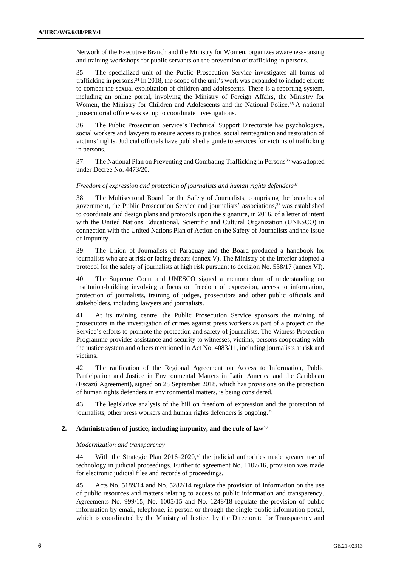Network of the Executive Branch and the Ministry for Women, organizes awareness-raising and training workshops for public servants on the prevention of trafficking in persons.

35. The specialized unit of the Public Prosecution Service investigates all forms of trafficking in persons.<sup>34</sup> In 2018, the scope of the unit's work was expanded to include efforts to combat the sexual exploitation of children and adolescents. There is a reporting system, including an online portal, involving the Ministry of Foreign Affairs, the Ministry for Women, the Ministry for Children and Adolescents and the National Police.<sup>35</sup> A national prosecutorial office was set up to coordinate investigations.

36. The Public Prosecution Service's Technical Support Directorate has psychologists, social workers and lawyers to ensure access to justice, social reintegration and restoration of victims' rights. Judicial officials have published a guide to services for victims of trafficking in persons.

37. The National Plan on Preventing and Combating Trafficking in Persons<sup>36</sup> was adopted under Decree No. 4473/20.

## *Freedom of expression and protection of journalists and human rights defenders*<sup>37</sup>

38. The Multisectoral Board for the Safety of Journalists, comprising the branches of government, the Public Prosecution Service and journalists' associations,<sup>38</sup> was established to coordinate and design plans and protocols upon the signature, in 2016, of a letter of intent with the United Nations Educational, Scientific and Cultural Organization (UNESCO) in connection with the United Nations Plan of Action on the Safety of Journalists and the Issue of Impunity.

39. The Union of Journalists of Paraguay and the Board produced a handbook for journalists who are at risk or facing threats (annex V). The Ministry of the Interior adopted a protocol for the safety of journalists at high risk pursuant to decision No. 538/17 (annex VI).

40. The Supreme Court and UNESCO signed a memorandum of understanding on institution-building involving a focus on freedom of expression, access to information, protection of journalists, training of judges, prosecutors and other public officials and stakeholders, including lawyers and journalists.

41. At its training centre, the Public Prosecution Service sponsors the training of prosecutors in the investigation of crimes against press workers as part of a project on the Service's efforts to promote the protection and safety of journalists. The Witness Protection Programme provides assistance and security to witnesses, victims, persons cooperating with the justice system and others mentioned in Act No. 4083/11, including journalists at risk and victims.

42. The ratification of the Regional Agreement on Access to Information, Public Participation and Justice in Environmental Matters in Latin America and the Caribbean (Escazú Agreement), signed on 28 September 2018, which has provisions on the protection of human rights defenders in environmental matters, is being considered.

43. The legislative analysis of the bill on freedom of expression and the protection of journalists, other press workers and human rights defenders is ongoing.<sup>39</sup>

## **2.** Administration of justice, including impunity, and the rule of law<sup>40</sup>

# *Modernization and transparency*

44. With the Strategic Plan  $2016-2020$ ,<sup>41</sup> the judicial authorities made greater use of technology in judicial proceedings. Further to agreement No. 1107/16, provision was made for electronic judicial files and records of proceedings.

45. Acts No. 5189/14 and No. 5282/14 regulate the provision of information on the use of public resources and matters relating to access to public information and transparency. Agreements No. 999/15, No. 1005/15 and No. 1248/18 regulate the provision of public information by email, telephone, in person or through the single public information portal, which is coordinated by the Ministry of Justice, by the Directorate for Transparency and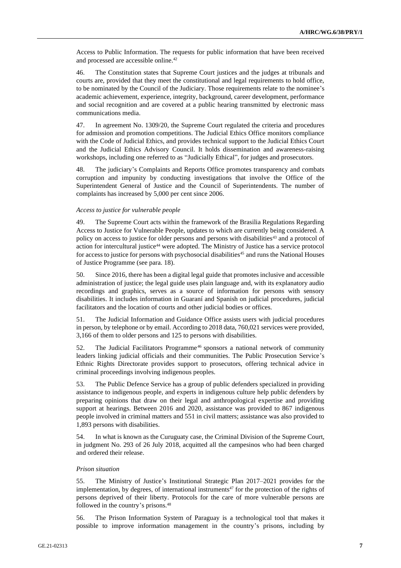Access to Public Information. The requests for public information that have been received and processed are accessible online.<sup>42</sup>

46. The Constitution states that Supreme Court justices and the judges at tribunals and courts are, provided that they meet the constitutional and legal requirements to hold office, to be nominated by the Council of the Judiciary. Those requirements relate to the nominee's academic achievement, experience, integrity, background, career development, performance and social recognition and are covered at a public hearing transmitted by electronic mass communications media.

47. In agreement No. 1309/20, the Supreme Court regulated the criteria and procedures for admission and promotion competitions. The Judicial Ethics Office monitors compliance with the Code of Judicial Ethics, and provides technical support to the Judicial Ethics Court and the Judicial Ethics Advisory Council. It holds dissemination and awareness-raising workshops, including one referred to as "Judicially Ethical", for judges and prosecutors.

48. The judiciary's Complaints and Reports Office promotes transparency and combats corruption and impunity by conducting investigations that involve the Office of the Superintendent General of Justice and the Council of Superintendents. The number of complaints has increased by 5,000 per cent since 2006.

## *Access to justice for vulnerable people*

49. The Supreme Court acts within the framework of the Brasilia Regulations Regarding Access to Justice for Vulnerable People, updates to which are currently being considered. A policy on access to justice for older persons and persons with disabilities<sup>43</sup> and a protocol of action for intercultural justice<sup>44</sup> were adopted. The Ministry of Justice has a service protocol for access to justice for persons with psychosocial disabilities<sup>45</sup> and runs the National Houses of Justice Programme (see para. 18).

50. Since 2016, there has been a digital legal guide that promotes inclusive and accessible administration of justice; the legal guide uses plain language and, with its explanatory audio recordings and graphics, serves as a source of information for persons with sensory disabilities. It includes information in Guaraní and Spanish on judicial procedures, judicial facilitators and the location of courts and other judicial bodies or offices.

51. The Judicial Information and Guidance Office assists users with judicial procedures in person, by telephone or by email. According to 2018 data, 760,021 services were provided, 3,166 of them to older persons and 125 to persons with disabilities.

52. The Judicial Facilitators Programme<sup>46</sup> sponsors a national network of community leaders linking judicial officials and their communities. The Public Prosecution Service's Ethnic Rights Directorate provides support to prosecutors, offering technical advice in criminal proceedings involving indigenous peoples.

53. The Public Defence Service has a group of public defenders specialized in providing assistance to indigenous people, and experts in indigenous culture help public defenders by preparing opinions that draw on their legal and anthropological expertise and providing support at hearings. Between 2016 and 2020, assistance was provided to 867 indigenous people involved in criminal matters and 551 in civil matters; assistance was also provided to 1,893 persons with disabilities.

54. In what is known as the Curuguaty case, the Criminal Division of the Supreme Court, in judgment No. 293 of 26 July 2018, acquitted all the campesinos who had been charged and ordered their release.

### *Prison situation*

55. The Ministry of Justice's Institutional Strategic Plan 2017–2021 provides for the implementation, by degrees, of international instruments<sup>47</sup> for the protection of the rights of persons deprived of their liberty. Protocols for the care of more vulnerable persons are followed in the country's prisons.<sup>48</sup>

56. The Prison Information System of Paraguay is a technological tool that makes it possible to improve information management in the country's prisons, including by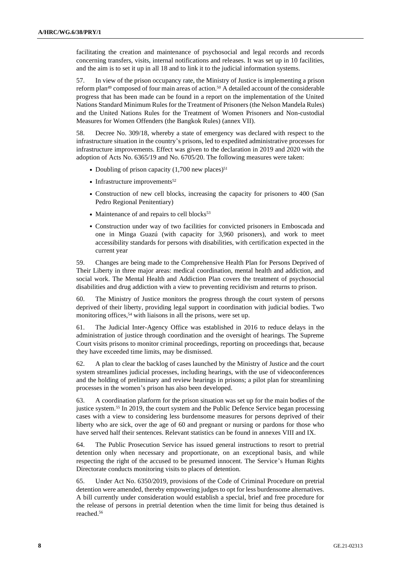facilitating the creation and maintenance of psychosocial and legal records and records concerning transfers, visits, internal notifications and releases. It was set up in 10 facilities, and the aim is to set it up in all 18 and to link it to the judicial information systems.

57. In view of the prison occupancy rate, the Ministry of Justice is implementing a prison reform plan<sup>49</sup> composed of four main areas of action.<sup>50</sup> A detailed account of the considerable progress that has been made can be found in a report on the implementation of the United Nations Standard Minimum Rules for the Treatment of Prisoners (the Nelson Mandela Rules) and the United Nations Rules for the Treatment of Women Prisoners and Non-custodial Measures for Women Offenders (the Bangkok Rules) (annex VII).

58. Decree No. 309/18, whereby a state of emergency was declared with respect to the infrastructure situation in the country's prisons, led to expedited administrative processes for infrastructure improvements. Effect was given to the declaration in 2019 and 2020 with the adoption of Acts No. 6365/19 and No. 6705/20. The following measures were taken:

- Doubling of prison capacity  $(1,700$  new places)<sup>51</sup>
- $\cdot$  Infrastructure improvements<sup>52</sup>
- Construction of new cell blocks, increasing the capacity for prisoners to 400 (San Pedro Regional Penitentiary)
- Maintenance of and repairs to cell blocks<sup>53</sup>
- Construction under way of two facilities for convicted prisoners in Emboscada and one in Minga Guazú (with capacity for 3,960 prisoners), and work to meet accessibility standards for persons with disabilities, with certification expected in the current year

59. Changes are being made to the Comprehensive Health Plan for Persons Deprived of Their Liberty in three major areas: medical coordination, mental health and addiction, and social work. The Mental Health and Addiction Plan covers the treatment of psychosocial disabilities and drug addiction with a view to preventing recidivism and returns to prison.

60. The Ministry of Justice monitors the progress through the court system of persons deprived of their liberty, providing legal support in coordination with judicial bodies. Two monitoring offices,<sup>54</sup> with liaisons in all the prisons, were set up.

61. The Judicial Inter-Agency Office was established in 2016 to reduce delays in the administration of justice through coordination and the oversight of hearings. The Supreme Court visits prisons to monitor criminal proceedings, reporting on proceedings that, because they have exceeded time limits, may be dismissed.

62. A plan to clear the backlog of cases launched by the Ministry of Justice and the court system streamlines judicial processes, including hearings, with the use of videoconferences and the holding of preliminary and review hearings in prisons; a pilot plan for streamlining processes in the women's prison has also been developed.

63. A coordination platform for the prison situation was set up for the main bodies of the justice system.<sup>55</sup> In 2019, the court system and the Public Defence Service began processing cases with a view to considering less burdensome measures for persons deprived of their liberty who are sick, over the age of 60 and pregnant or nursing or pardons for those who have served half their sentences. Relevant statistics can be found in annexes VIII and IX.

64. The Public Prosecution Service has issued general instructions to resort to pretrial detention only when necessary and proportionate, on an exceptional basis, and while respecting the right of the accused to be presumed innocent. The Service's Human Rights Directorate conducts monitoring visits to places of detention.

65. Under Act No. 6350/2019, provisions of the Code of Criminal Procedure on pretrial detention were amended, thereby empowering judges to opt for less burdensome alternatives. A bill currently under consideration would establish a special, brief and free procedure for the release of persons in pretrial detention when the time limit for being thus detained is reached.56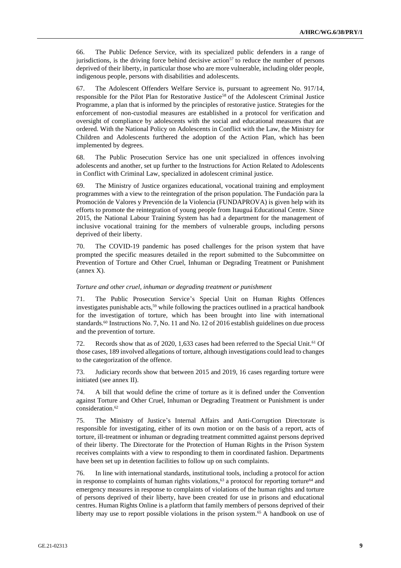66. The Public Defence Service, with its specialized public defenders in a range of jurisdictions, is the driving force behind decisive action<sup>57</sup> to reduce the number of persons deprived of their liberty, in particular those who are more vulnerable, including older people, indigenous people, persons with disabilities and adolescents.

67. The Adolescent Offenders Welfare Service is, pursuant to agreement No. 917/14, responsible for the Pilot Plan for Restorative Justice<sup>58</sup> of the Adolescent Criminal Justice Programme, a plan that is informed by the principles of restorative justice. Strategies for the enforcement of non-custodial measures are established in a protocol for verification and oversight of compliance by adolescents with the social and educational measures that are ordered. With the National Policy on Adolescents in Conflict with the Law, the Ministry for Children and Adolescents furthered the adoption of the Action Plan, which has been implemented by degrees.

68. The Public Prosecution Service has one unit specialized in offences involving adolescents and another, set up further to the Instructions for Action Related to Adolescents in Conflict with Criminal Law, specialized in adolescent criminal justice.

69. The Ministry of Justice organizes educational, vocational training and employment programmes with a view to the reintegration of the prison population. The Fundación para la Promoción de Valores y Prevención de la Violencia (FUNDAPROVA) is given help with its efforts to promote the reintegration of young people from Itauguá Educational Centre. Since 2015, the National Labour Training System has had a department for the management of inclusive vocational training for the members of vulnerable groups, including persons deprived of their liberty.

70. The COVID-19 pandemic has posed challenges for the prison system that have prompted the specific measures detailed in the report submitted to the Subcommittee on Prevention of Torture and Other Cruel, Inhuman or Degrading Treatment or Punishment (annex X).

### *Torture and other cruel, inhuman or degrading treatment or punishment*

71. The Public Prosecution Service's Special Unit on Human Rights Offences investigates punishable acts,<sup>59</sup> while following the practices outlined in a practical handbook for the investigation of torture, which has been brought into line with international standards.<sup>60</sup> Instructions No. 7, No. 11 and No. 12 of 2016 establish guidelines on due process and the prevention of torture.

72. Records show that as of 2020, 1,633 cases had been referred to the Special Unit.<sup>61</sup> Of those cases, 189 involved allegations of torture, although investigations could lead to changes to the categorization of the offence.

73. Judiciary records show that between 2015 and 2019, 16 cases regarding torture were initiated (see annex II).

74. A bill that would define the crime of torture as it is defined under the Convention against Torture and Other Cruel, Inhuman or Degrading Treatment or Punishment is under consideration.<sup>62</sup>

75. The Ministry of Justice's Internal Affairs and Anti-Corruption Directorate is responsible for investigating, either of its own motion or on the basis of a report, acts of torture, ill-treatment or inhuman or degrading treatment committed against persons deprived of their liberty. The Directorate for the Protection of Human Rights in the Prison System receives complaints with a view to responding to them in coordinated fashion. Departments have been set up in detention facilities to follow up on such complaints.

76. In line with international standards, institutional tools, including a protocol for action in response to complaints of human rights violations,<sup>63</sup> a protocol for reporting torture<sup>64</sup> and emergency measures in response to complaints of violations of the human rights and torture of persons deprived of their liberty, have been created for use in prisons and educational centres. Human Rights Online is a platform that family members of persons deprived of their liberty may use to report possible violations in the prison system.<sup>65</sup> A handbook on use of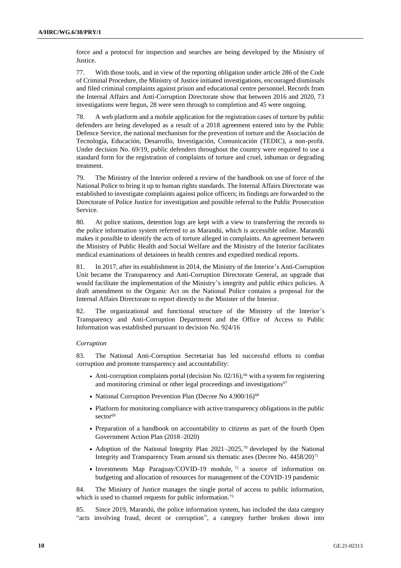force and a protocol for inspection and searches are being developed by the Ministry of Justice.

77. With those tools, and in view of the reporting obligation under article 286 of the Code of Criminal Procedure, the Ministry of Justice initiated investigations, encouraged dismissals and filed criminal complaints against prison and educational centre personnel. Records from the Internal Affairs and Anti-Corruption Directorate show that between 2016 and 2020, 73 investigations were begun, 28 were seen through to completion and 45 were ongoing.

78. A web platform and a mobile application for the registration cases of torture by public defenders are being developed as a result of a 2018 agreement entered into by the Public Defence Service, the national mechanism for the prevention of torture and the Asociación de Tecnología, Educación, Desarrollo, Investigación, Comunicación (TEDIC), a non-profit. Under decision No. 69/19, public defenders throughout the country were required to use a standard form for the registration of complaints of torture and cruel, inhuman or degrading treatment.

79. The Ministry of the Interior ordered a review of the handbook on use of force of the National Police to bring it up to human rights standards. The Internal Affairs Directorate was established to investigate complaints against police officers; its findings are forwarded to the Directorate of Police Justice for investigation and possible referral to the Public Prosecution Service.

80. At police stations, detention logs are kept with a view to transferring the records to the police information system referred to as Marandú, which is accessible online. Marandú makes it possible to identify the acts of torture alleged in complaints. An agreement between the Ministry of Public Health and Social Welfare and the Ministry of the Interior facilitates medical examinations of detainees in health centres and expedited medical reports.

81. In 2017, after its establishment in 2014, the Ministry of the Interior's Anti-Corruption Unit became the Transparency and Anti-Corruption Directorate General, an upgrade that would facilitate the implementation of the Ministry's integrity and public ethics policies. A draft amendment to the Organic Act on the National Police contains a proposal for the Internal Affairs Directorate to report directly to the Minister of the Interior.

82. The organizational and functional structure of the Ministry of the Interior's Transparency and Anti-Corruption Department and the Office of Access to Public Information was established pursuant to decision No. 924/16

## *Corruption*

83. The National Anti-Corruption Secretariat has led successful efforts to combat corruption and promote transparency and accountability:

- Anti-corruption complaints portal (decision No.  $02/16$ ),<sup>66</sup> with a system for registering and monitoring criminal or other legal proceedings and investigations<sup>67</sup>
- National Corruption Prevention Plan (Decree No 4.900/16)<sup>68</sup>
- Platform for monitoring compliance with active transparency obligations in the public sector<sup>69</sup>
- Preparation of a handbook on accountability to citizens as part of the fourth Open Government Action Plan (2018–2020)
- Adoption of the National Integrity Plan  $2021-2025$ ,<sup>70</sup> developed by the National Integrity and Transparency Team around six thematic axes (Decree No. 4458/20)<sup>71</sup>
- Investments Map Paraguay/COVID-19 module,  $72$  a source of information on budgeting and allocation of resources for management of the COVID-19 pandemic

84. The Ministry of Justice manages the single portal of access to public information, which is used to channel requests for public information.<sup>73</sup>

85. Since 2019, Marandú, the police information system, has included the data category "acts involving fraud, deceit or corruption", a category further broken down into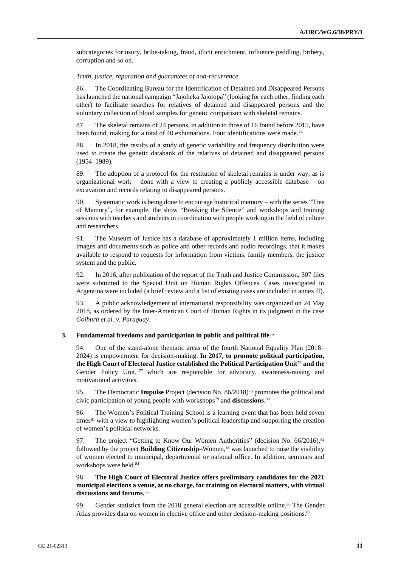subcategories for usury, bribe-taking, fraud, illicit enrichment, influence peddling, bribery, corruption and so on.

#### *Truth, justice, reparation and guarantees of non-recurrence*

86. The Coordinating Bureau for the Identification of Detained and Disappeared Persons has launched the national campaign "Jajoheka Jajotopa" (looking for each other, finding each other) to facilitate searches for relatives of detained and disappeared persons and the voluntary collection of blood samples for genetic comparison with skeletal remains.

87. The skeletal remains of 24 persons, in addition to those of 16 found before 2015, have been found, making for a total of 40 exhumations. Four identifications were made.<sup>74</sup>

88. In 2018, the results of a study of genetic variability and frequency distribution were used to create the genetic databank of the relatives of detained and disappeared persons (1954–1989).

89. The adoption of a protocol for the restitution of skeletal remains is under way, as is organizational work – done with a view to creating a publicly accessible database – on excavation and records relating to disappeared persons.

90. Systematic work is being done to encourage historical memory – with the series "Tree of Memory", for example, the show "Breaking the Silence" and workshops and training sessions with teachers and students in coordination with people working in the field of culture and researchers.

91. The Museum of Justice has a database of approximately 1 million items, including images and documents such as police and other records and audio recordings, that it makes available to respond to requests for information from victims, family members, the justice system and the public.

92. In 2016, after publication of the report of the Truth and Justice Commission, 307 files were submitted to the Special Unit on Human Rights Offences. Cases investigated in Argentina were included (a brief review and a list of existing cases are included in annex II).

93. A public acknowledgement of international responsibility was organized on 24 May 2018, as ordered by the Inter-American Court of Human Rights in its judgment in the case *Goiburú et al. v. Paraguay*.

### **3. Fundamental freedoms and participation in public and political life**<sup>75</sup>

94. One of the stand-alone thematic areas of the fourth National Equality Plan (2018– 2024) is empowerment for decision-making. **In 2017, to promote political participation, the High Court of Electoral Justice established the Political Participation Unit**<sup>76</sup> **and the** Gender Policy Unit,  $7\overline{7}$  which are responsible for advocacy, awareness-raising and motivational activities.

95. The Democratic **Impulse** Project (decision No. 86/2018)<sup>78</sup> promotes the political and civic participation of young people with workshops<sup>79</sup> and **discussions**. 80

96. The Women's Political Training School is a learning event that has been held seven times<sup>81</sup> with a view to highlighting women's political leadership and supporting the creation of women's political networks.

97. The project "Getting to Know Our Women Authorities" (decision No.  $66/2016$ ),  $82$ followed by the project **Building Citizenship–**Women,<sup>83</sup> was launched to raise the visibility of women elected to municipal, departmental or national office. In addition, seminars and workshops were held.<sup>84</sup>

# 98. **The High Court of Electoral Justice offers preliminary candidates for the 2021 municipal elections a venue, at no charge, for training on electoral matters, with virtual discussions and forums.**<sup>85</sup>

99. Gender statistics from the 2018 general election are accessible online.<sup>86</sup> The Gender Atlas provides data on women in elective office and other decision-making positions.<sup>87</sup>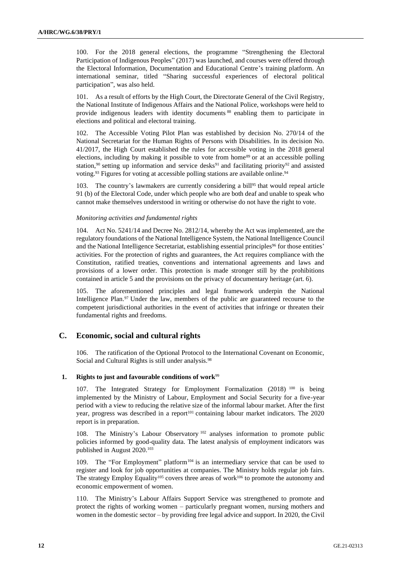100. For the 2018 general elections, the programme "Strengthening the Electoral Participation of Indigenous Peoples" (2017) was launched, and courses were offered through the Electoral Information, Documentation and Educational Centre's training platform. An international seminar, titled "Sharing successful experiences of electoral political participation", was also held.

101. As a result of efforts by the High Court, the Directorate General of the Civil Registry, the National Institute of Indigenous Affairs and the National Police, workshops were held to provide indigenous leaders with identity documents<sup>88</sup> enabling them to participate in elections and political and electoral training.

102. The Accessible Voting Pilot Plan was established by decision No. 270/14 of the National Secretariat for the Human Rights of Persons with Disabilities. In its decision No. 41/2017, the High Court established the rules for accessible voting in the 2018 general elections, including by making it possible to vote from home<sup>89</sup> or at an accessible polling station,<sup>90</sup> setting up information and service desks<sup>91</sup> and facilitating priority<sup>92</sup> and assisted voting.<sup>93</sup> Figures for voting at accessible polling stations are available online.<sup>94</sup>

103. The country's lawmakers are currently considering a bill<sup>95</sup> that would repeal article 91 (b) of the Electoral Code, under which people who are both deaf and unable to speak who cannot make themselves understood in writing or otherwise do not have the right to vote.

## *Monitoring activities and fundamental rights*

104. Act No. 5241/14 and Decree No. 2812/14, whereby the Act was implemented, are the regulatory foundations of the National Intelligence System, the National Intelligence Council and the National Intelligence Secretariat, establishing essential principles<sup>96</sup> for those entities' activities. For the protection of rights and guarantees, the Act requires compliance with the Constitution, ratified treaties, conventions and international agreements and laws and provisions of a lower order. This protection is made stronger still by the prohibitions contained in article 5 and the provisions on the privacy of documentary heritage (art. 6).

105. The aforementioned principles and legal framework underpin the National Intelligence Plan.<sup>97</sup> Under the law, members of the public are guaranteed recourse to the competent jurisdictional authorities in the event of activities that infringe or threaten their fundamental rights and freedoms.

# **C. Economic, social and cultural rights**

106. The ratification of the Optional Protocol to the International Covenant on Economic, Social and Cultural Rights is still under analysis.<sup>98</sup>

# 1. **Rights to just and favourable conditions of work**<sup>99</sup>

107. The Integrated Strategy for Employment Formalization (2018) <sup>100</sup> is being implemented by the Ministry of Labour, Employment and Social Security for a five-year period with a view to reducing the relative size of the informal labour market. After the first year, progress was described in a report<sup>101</sup> containing labour market indicators. The 2020 report is in preparation.

108. The Ministry's Labour Observatory <sup>102</sup> analyses information to promote public policies informed by good-quality data. The latest analysis of employment indicators was published in August 2020.<sup>103</sup>

109. The "For Employment" platform<sup>104</sup> is an intermediary service that can be used to register and look for job opportunities at companies. The Ministry holds regular job fairs. The strategy Employ Equality<sup>105</sup> covers three areas of work<sup>106</sup> to promote the autonomy and economic empowerment of women.

110. The Ministry's Labour Affairs Support Service was strengthened to promote and protect the rights of working women – particularly pregnant women, nursing mothers and women in the domestic sector – by providing free legal advice and support. In 2020, the Civil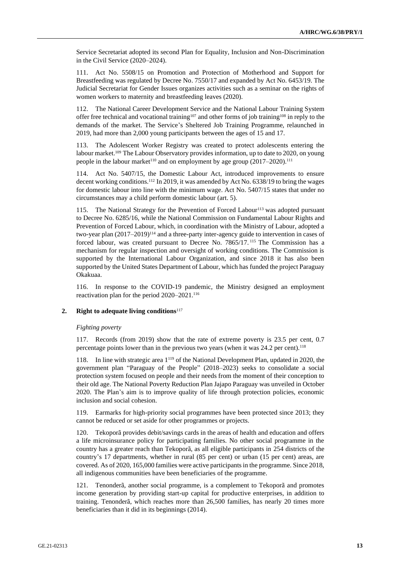Service Secretariat adopted its second Plan for Equality, Inclusion and Non-Discrimination in the Civil Service (2020–2024).

111. Act No. 5508/15 on Promotion and Protection of Motherhood and Support for Breastfeeding was regulated by Decree No. 7550/17 and expanded by Act No. 6453/19. The Judicial Secretariat for Gender Issues organizes activities such as a seminar on the rights of women workers to maternity and breastfeeding leaves (2020).

112. The National Career Development Service and the National Labour Training System offer free technical and vocational training<sup>107</sup> and other forms of job training<sup>108</sup> in reply to the demands of the market. The Service's Sheltered Job Training Programme, relaunched in 2019, had more than 2,000 young participants between the ages of 15 and 17.

113. The Adolescent Worker Registry was created to protect adolescents entering the labour market.<sup>109</sup> The Labour Observatory provides information, up to date to 2020, on young people in the labour market<sup>110</sup> and on employment by age group (2017–2020).<sup>111</sup>

114. Act No. 5407/15, the Domestic Labour Act, introduced improvements to ensure decent working conditions.<sup>112</sup> In 2019, it was amended by Act No. 6338/19 to bring the wages for domestic labour into line with the minimum wage. Act No. 5407/15 states that under no circumstances may a child perform domestic labour (art. 5).

115. The National Strategy for the Prevention of Forced Labour<sup>113</sup> was adopted pursuant to Decree No. 6285/16, while the National Commission on Fundamental Labour Rights and Prevention of Forced Labour, which, in coordination with the Ministry of Labour, adopted a two-year plan (2017–2019)<sup>114</sup> and a three-party inter-agency guide to intervention in cases of forced labour, was created pursuant to Decree No. 7865/17. <sup>115</sup> The Commission has a mechanism for regular inspection and oversight of working conditions. The Commission is supported by the International Labour Organization, and since 2018 it has also been supported by the United States Department of Labour, which has funded the project Paraguay Okakuaa.

116. In response to the COVID-19 pandemic, the Ministry designed an employment reactivation plan for the period 2020–2021.<sup>116</sup>

## **2. Right to adequate living conditions**<sup>117</sup>

#### *Fighting poverty*

117. Records (from 2019) show that the rate of extreme poverty is 23.5 per cent, 0.7 percentage points lower than in the previous two years (when it was 24.2 per cent).<sup>118</sup>

118. In line with strategic area 1<sup>119</sup> of the National Development Plan, updated in 2020, the government plan "Paraguay of the People" (2018–2023) seeks to consolidate a social protection system focused on people and their needs from the moment of their conception to their old age. The National Poverty Reduction Plan Jajapo Paraguay was unveiled in October 2020. The Plan's aim is to improve quality of life through protection policies, economic inclusion and social cohesion.

119. Earmarks for high-priority social programmes have been protected since 2013; they cannot be reduced or set aside for other programmes or projects.

120. Tekoporã provides debit/savings cards in the areas of health and education and offers a life microinsurance policy for participating families. No other social programme in the country has a greater reach than Tekoporã, as all eligible participants in 254 districts of the country's 17 departments, whether in rural (85 per cent) or urban (15 per cent) areas, are covered. As of 2020, 165,000 families were active participants in the programme. Since 2018, all indigenous communities have been beneficiaries of the programme.

121. Tenonderã, another social programme, is a complement to Tekoporã and promotes income generation by providing start-up capital for productive enterprises, in addition to training. Tenonderã, which reaches more than 26,500 families, has nearly 20 times more beneficiaries than it did in its beginnings (2014).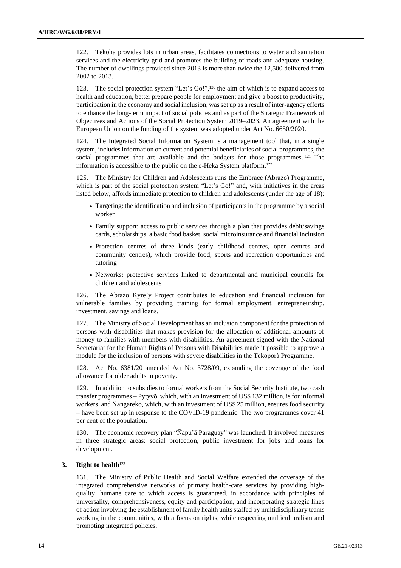122. Tekoha provides lots in urban areas, facilitates connections to water and sanitation services and the electricity grid and promotes the building of roads and adequate housing. The number of dwellings provided since 2013 is more than twice the 12,500 delivered from 2002 to 2013.

123. The social protection system "Let's Go!", <sup>120</sup> the aim of which is to expand access to health and education, better prepare people for employment and give a boost to productivity, participation in the economy and social inclusion, was set up as a result of inter-agency efforts to enhance the long-term impact of social policies and as part of the Strategic Framework of Objectives and Actions of the Social Protection System 2019–2023. An agreement with the European Union on the funding of the system was adopted under Act No. 6650/2020.

124. The Integrated Social Information System is a management tool that, in a single system, includes information on current and potential beneficiaries of social programmes, the social programmes that are available and the budgets for those programmes. <sup>121</sup> The information is accessible to the public on the e-Heka System platform.<sup>122</sup>

125. The Ministry for Children and Adolescents runs the Embrace (Abrazo) Programme, which is part of the social protection system "Let's Go!" and, with initiatives in the areas listed below, affords immediate protection to children and adolescents (under the age of 18):

- Targeting: the identification and inclusion of participants in the programme by a social worker
- Family support: access to public services through a plan that provides debit/savings cards, scholarships, a basic food basket, social microinsurance and financial inclusion
- Protection centres of three kinds (early childhood centres, open centres and community centres), which provide food, sports and recreation opportunities and tutoring
- Networks: protective services linked to departmental and municipal councils for children and adolescents

126. The Abrazo Kyre'y Project contributes to education and financial inclusion for vulnerable families by providing training for formal employment, entrepreneurship, investment, savings and loans.

127. The Ministry of Social Development has an inclusion component for the protection of persons with disabilities that makes provision for the allocation of additional amounts of money to families with members with disabilities. An agreement signed with the National Secretariat for the Human Rights of Persons with Disabilities made it possible to approve a module for the inclusion of persons with severe disabilities in the Tekoporã Programme.

128. Act No. 6381/20 amended Act No. 3728/09, expanding the coverage of the food allowance for older adults in poverty.

129. In addition to subsidies to formal workers from the Social Security Institute, two cash transfer programmes – Pytyvõ, which, with an investment of US\$ 132 million, is for informal workers, and Ñangareko, which, with an investment of US\$ 25 million, ensures food security – have been set up in response to the COVID-19 pandemic. The two programmes cover 41 per cent of the population.

130. The economic recovery plan "Ñapu'ã Paraguay" was launched. It involved measures in three strategic areas: social protection, public investment for jobs and loans for development.

# **3. Right to health**<sup>123</sup>

131. The Ministry of Public Health and Social Welfare extended the coverage of the integrated comprehensive networks of primary health-care services by providing highquality, humane care to which access is guaranteed, in accordance with principles of universality, comprehensiveness, equity and participation, and incorporating strategic lines of action involving the establishment of family health units staffed by multidisciplinary teams working in the communities, with a focus on rights, while respecting multiculturalism and promoting integrated policies.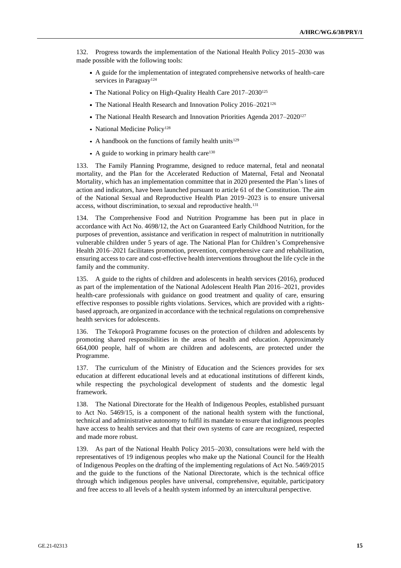132. Progress towards the implementation of the National Health Policy 2015–2030 was made possible with the following tools:

- A guide for the implementation of integrated comprehensive networks of health-care services in Paraguay<sup>124</sup>
- The National Policy on High-Quality Health Care 2017–2030<sup>125</sup>
- The National Health Research and Innovation Policy 2016–2021<sup>126</sup>
- The National Health Research and Innovation Priorities Agenda 2017–2020<sup>127</sup>
- National Medicine Policy<sup>128</sup>
- A handbook on the functions of family health units<sup>129</sup>
- A guide to working in primary health care<sup>130</sup>

133. The Family Planning Programme, designed to reduce maternal, fetal and neonatal mortality, and the Plan for the Accelerated Reduction of Maternal, Fetal and Neonatal Mortality, which has an implementation committee that in 2020 presented the Plan's lines of action and indicators, have been launched pursuant to article 61 of the Constitution. The aim of the National Sexual and Reproductive Health Plan 2019–2023 is to ensure universal access, without discrimination, to sexual and reproductive health.<sup>131</sup>

134. The Comprehensive Food and Nutrition Programme has been put in place in accordance with Act No. 4698/12, the Act on Guaranteed Early Childhood Nutrition, for the purposes of prevention, assistance and verification in respect of malnutrition in nutritionally vulnerable children under 5 years of age. The National Plan for Children's Comprehensive Health 2016–2021 facilitates promotion, prevention, comprehensive care and rehabilitation, ensuring access to care and cost-effective health interventions throughout the life cycle in the family and the community.

135. A guide to the rights of children and adolescents in health services (2016), produced as part of the implementation of the National Adolescent Health Plan 2016–2021, provides health-care professionals with guidance on good treatment and quality of care, ensuring effective responses to possible rights violations. Services, which are provided with a rightsbased approach, are organized in accordance with the technical regulations on comprehensive health services for adolescents.

136. The Tekoporã Programme focuses on the protection of children and adolescents by promoting shared responsibilities in the areas of health and education. Approximately 664,000 people, half of whom are children and adolescents, are protected under the Programme.

137. The curriculum of the Ministry of Education and the Sciences provides for sex education at different educational levels and at educational institutions of different kinds, while respecting the psychological development of students and the domestic legal framework.

138. The National Directorate for the Health of Indigenous Peoples, established pursuant to Act No. 5469/15, is a component of the national health system with the functional, technical and administrative autonomy to fulfil its mandate to ensure that indigenous peoples have access to health services and that their own systems of care are recognized, respected and made more robust.

139. As part of the National Health Policy 2015–2030, consultations were held with the representatives of 19 indigenous peoples who make up the National Council for the Health of Indigenous Peoples on the drafting of the implementing regulations of Act No. 5469/2015 and the guide to the functions of the National Directorate, which is the technical office through which indigenous peoples have universal, comprehensive, equitable, participatory and free access to all levels of a health system informed by an intercultural perspective.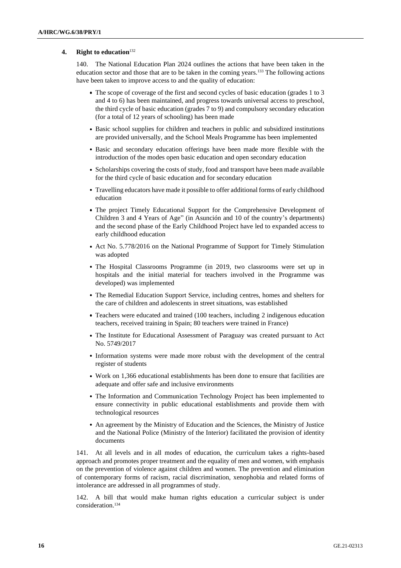## **4. Right to education**<sup>132</sup>

140. The National Education Plan 2024 outlines the actions that have been taken in the education sector and those that are to be taken in the coming years.<sup>133</sup> The following actions have been taken to improve access to and the quality of education:

- The scope of coverage of the first and second cycles of basic education (grades 1 to 3 and 4 to 6) has been maintained, and progress towards universal access to preschool, the third cycle of basic education (grades 7 to 9) and compulsory secondary education (for a total of 12 years of schooling) has been made
- Basic school supplies for children and teachers in public and subsidized institutions are provided universally, and the School Meals Programme has been implemented
- Basic and secondary education offerings have been made more flexible with the introduction of the modes open basic education and open secondary education
- Scholarships covering the costs of study, food and transport have been made available for the third cycle of basic education and for secondary education
- Travelling educators have made it possible to offer additional forms of early childhood education
- The project Timely Educational Support for the Comprehensive Development of Children 3 and 4 Years of Age" (in Asunción and 10 of the country's departments) and the second phase of the Early Childhood Project have led to expanded access to early childhood education
- Act No. 5.778/2016 on the National Programme of Support for Timely Stimulation was adopted
- The Hospital Classrooms Programme (in 2019, two classrooms were set up in hospitals and the initial material for teachers involved in the Programme was developed) was implemented
- The Remedial Education Support Service, including centres, homes and shelters for the care of children and adolescents in street situations, was established
- Teachers were educated and trained (100 teachers, including 2 indigenous education teachers, received training in Spain; 80 teachers were trained in France)
- The Institute for Educational Assessment of Paraguay was created pursuant to Act No. 5749/2017
- Information systems were made more robust with the development of the central register of students
- Work on 1,366 educational establishments has been done to ensure that facilities are adequate and offer safe and inclusive environments
- The Information and Communication Technology Project has been implemented to ensure connectivity in public educational establishments and provide them with technological resources
- An agreement by the Ministry of Education and the Sciences, the Ministry of Justice and the National Police (Ministry of the Interior) facilitated the provision of identity documents

141. At all levels and in all modes of education, the curriculum takes a rights-based approach and promotes proper treatment and the equality of men and women, with emphasis on the prevention of violence against children and women. The prevention and elimination of contemporary forms of racism, racial discrimination, xenophobia and related forms of intolerance are addressed in all programmes of study.

142. A bill that would make human rights education a curricular subject is under consideration.134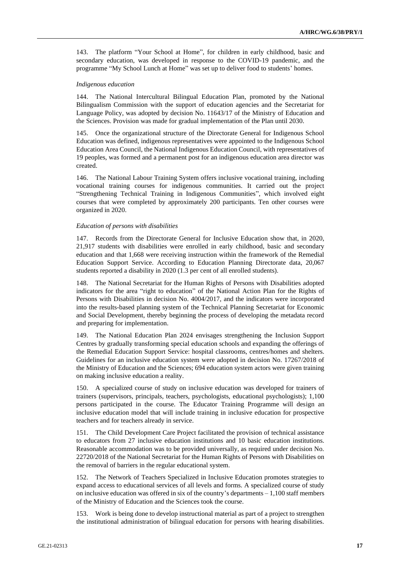143. The platform "Your School at Home", for children in early childhood, basic and secondary education, was developed in response to the COVID-19 pandemic, and the programme "My School Lunch at Home" was set up to deliver food to students' homes.

### *Indigenous education*

144. The National Intercultural Bilingual Education Plan, promoted by the National Bilingualism Commission with the support of education agencies and the Secretariat for Language Policy, was adopted by decision No. 11643/17 of the Ministry of Education and the Sciences. Provision was made for gradual implementation of the Plan until 2030.

145. Once the organizational structure of the Directorate General for Indigenous School Education was defined, indigenous representatives were appointed to the Indigenous School Education Area Council, the National Indigenous Education Council, with representatives of 19 peoples, was formed and a permanent post for an indigenous education area director was created.

146. The National Labour Training System offers inclusive vocational training, including vocational training courses for indigenous communities. It carried out the project "Strengthening Technical Training in Indigenous Communities", which involved eight courses that were completed by approximately 200 participants. Ten other courses were organized in 2020.

#### *Education of persons with disabilities*

147. Records from the Directorate General for Inclusive Education show that, in 2020, 21,917 students with disabilities were enrolled in early childhood, basic and secondary education and that 1,668 were receiving instruction within the framework of the Remedial Education Support Service. According to Education Planning Directorate data, 20,067 students reported a disability in 2020 (1.3 per cent of all enrolled students).

148. The National Secretariat for the Human Rights of Persons with Disabilities adopted indicators for the area "right to education" of the National Action Plan for the Rights of Persons with Disabilities in decision No. 4004/2017, and the indicators were incorporated into the results-based planning system of the Technical Planning Secretariat for Economic and Social Development, thereby beginning the process of developing the metadata record and preparing for implementation.

149. The National Education Plan 2024 envisages strengthening the Inclusion Support Centres by gradually transforming special education schools and expanding the offerings of the Remedial Education Support Service: hospital classrooms, centres/homes and shelters. Guidelines for an inclusive education system were adopted in decision No. 17267/2018 of the Ministry of Education and the Sciences; 694 education system actors were given training on making inclusive education a reality.

150. A specialized course of study on inclusive education was developed for trainers of trainers (supervisors, principals, teachers, psychologists, educational psychologists); 1,100 persons participated in the course. The Educator Training Programme will design an inclusive education model that will include training in inclusive education for prospective teachers and for teachers already in service.

151. The Child Development Care Project facilitated the provision of technical assistance to educators from 27 inclusive education institutions and 10 basic education institutions. Reasonable accommodation was to be provided universally, as required under decision No. 22720/2018 of the National Secretariat for the Human Rights of Persons with Disabilities on the removal of barriers in the regular educational system.

152. The Network of Teachers Specialized in Inclusive Education promotes strategies to expand access to educational services of all levels and forms. A specialized course of study on inclusive education was offered in six of the country's departments  $-1,100$  staff members of the Ministry of Education and the Sciences took the course.

153. Work is being done to develop instructional material as part of a project to strengthen the institutional administration of bilingual education for persons with hearing disabilities.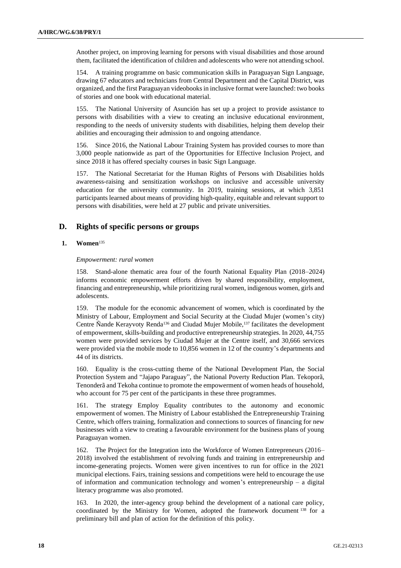Another project, on improving learning for persons with visual disabilities and those around them, facilitated the identification of children and adolescents who were not attending school.

154. A training programme on basic communication skills in Paraguayan Sign Language, drawing 67 educators and technicians from Central Department and the Capital District, was organized, and the first Paraguayan videobooks in inclusive format were launched: two books of stories and one book with educational material.

155. The National University of Asunción has set up a project to provide assistance to persons with disabilities with a view to creating an inclusive educational environment, responding to the needs of university students with disabilities, helping them develop their abilities and encouraging their admission to and ongoing attendance.

156. Since 2016, the National Labour Training System has provided courses to more than 3,000 people nationwide as part of the Opportunities for Effective Inclusion Project, and since 2018 it has offered specialty courses in basic Sign Language.

157. The National Secretariat for the Human Rights of Persons with Disabilities holds awareness-raising and sensitization workshops on inclusive and accessible university education for the university community. In 2019, training sessions, at which 3,851 participants learned about means of providing high-quality, equitable and relevant support to persons with disabilities, were held at 27 public and private universities.

# **D. Rights of specific persons or groups**

# **1. Women**<sup>135</sup>

#### *Empowerment: rural women*

158. Stand-alone thematic area four of the fourth National Equality Plan (2018–2024) informs economic empowerment efforts driven by shared responsibility, employment, financing and entrepreneurship, while prioritizing rural women, indigenous women, girls and adolescents.

159. The module for the economic advancement of women, which is coordinated by the Ministry of Labour, Employment and Social Security at the Ciudad Mujer (women's city) Centre Ñande Kerayvoty Renda<sup>136</sup> and Ciudad Mujer Mobile,<sup>137</sup> facilitates the development of empowerment, skills-building and productive entrepreneurship strategies. In 2020, 44,755 women were provided services by Ciudad Mujer at the Centre itself, and 30,666 services were provided via the mobile mode to 10,856 women in 12 of the country's departments and 44 of its districts.

160. Equality is the cross-cutting theme of the National Development Plan, the Social Protection System and "Jajapo Paraguay", the National Poverty Reduction Plan. Tekoporã, Tenonderã and Tekoha continue to promote the empowerment of women heads of household, who account for 75 per cent of the participants in these three programmes.

161. The strategy Employ Equality contributes to the autonomy and economic empowerment of women. The Ministry of Labour established the Entrepreneurship Training Centre, which offers training, formalization and connections to sources of financing for new businesses with a view to creating a favourable environment for the business plans of young Paraguayan women.

162. The Project for the Integration into the Workforce of Women Entrepreneurs (2016– 2018) involved the establishment of revolving funds and training in entrepreneurship and income-generating projects. Women were given incentives to run for office in the 2021 municipal elections. Fairs, training sessions and competitions were held to encourage the use of information and communication technology and women's entrepreneurship – a digital literacy programme was also promoted.

163. In 2020, the inter-agency group behind the development of a national care policy, coordinated by the Ministry for Women, adopted the framework document <sup>138</sup> for a preliminary bill and plan of action for the definition of this policy.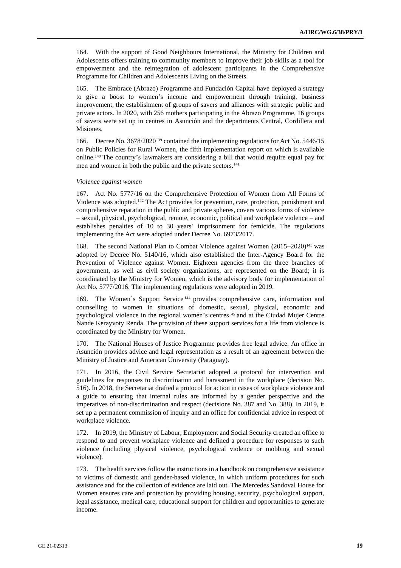164. With the support of Good Neighbours International, the Ministry for Children and Adolescents offers training to community members to improve their job skills as a tool for empowerment and the reintegration of adolescent participants in the Comprehensive Programme for Children and Adolescents Living on the Streets.

165. The Embrace (Abrazo) Programme and Fundación Capital have deployed a strategy to give a boost to women's income and empowerment through training, business improvement, the establishment of groups of savers and alliances with strategic public and private actors. In 2020, with 256 mothers participating in the Abrazo Programme, 16 groups of savers were set up in centres in Asunción and the departments Central, Cordillera and Misiones.

166. Decree No. 3678/2020<sup>139</sup> contained the implementing regulations for Act No. 5446/15 on Public Policies for Rural Women, the fifth implementation report on which is available online.<sup>140</sup> The country's lawmakers are considering a bill that would require equal pay for men and women in both the public and the private sectors.<sup>141</sup>

#### *Violence against women*

167. Act No. 5777/16 on the Comprehensive Protection of Women from All Forms of Violence was adopted.<sup>142</sup> The Act provides for prevention, care, protection, punishment and comprehensive reparation in the public and private spheres, covers various forms of violence – sexual, physical, psychological, remote, economic, political and workplace violence – and establishes penalties of 10 to 30 years' imprisonment for femicide. The regulations implementing the Act were adopted under Decree No. 6973/2017.

168. The second National Plan to Combat Violence against Women (2015–2020)<sup>143</sup> was adopted by Decree No. 5140/16, which also established the Inter-Agency Board for the Prevention of Violence against Women. Eighteen agencies from the three branches of government, as well as civil society organizations, are represented on the Board; it is coordinated by the Ministry for Women, which is the advisory body for implementation of Act No. 5777/2016. The implementing regulations were adopted in 2019.

169. The Women's Support Service <sup>144</sup> provides comprehensive care, information and counselling to women in situations of domestic, sexual, physical, economic and psychological violence in the regional women's centres<sup>145</sup> and at the Ciudad Mujer Centre Ñande Kerayvoty Renda. The provision of these support services for a life from violence is coordinated by the Ministry for Women.

170. The National Houses of Justice Programme provides free legal advice. An office in Asunción provides advice and legal representation as a result of an agreement between the Ministry of Justice and American University (Paraguay).

171. In 2016, the Civil Service Secretariat adopted a protocol for intervention and guidelines for responses to discrimination and harassment in the workplace (decision No. 516). In 2018, the Secretariat drafted a protocol for action in cases of workplace violence and a guide to ensuring that internal rules are informed by a gender perspective and the imperatives of non-discrimination and respect (decisions No. 387 and No. 388). In 2019, it set up a permanent commission of inquiry and an office for confidential advice in respect of workplace violence.

172. In 2019, the Ministry of Labour, Employment and Social Security created an office to respond to and prevent workplace violence and defined a procedure for responses to such violence (including physical violence, psychological violence or mobbing and sexual violence).

173. The health services follow the instructions in a handbook on comprehensive assistance to victims of domestic and gender-based violence, in which uniform procedures for such assistance and for the collection of evidence are laid out. The Mercedes Sandoval House for Women ensures care and protection by providing housing, security, psychological support, legal assistance, medical care, educational support for children and opportunities to generate income.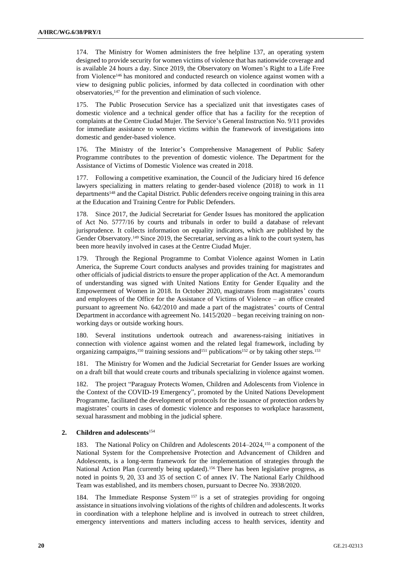174. The Ministry for Women administers the free helpline 137, an operating system designed to provide security for women victims of violence that has nationwide coverage and is available 24 hours a day. Since 2019, the Observatory on Women's Right to a Life Free from Violence<sup>146</sup> has monitored and conducted research on violence against women with a view to designing public policies, informed by data collected in coordination with other observatories,<sup>147</sup> for the prevention and elimination of such violence.

175. The Public Prosecution Service has a specialized unit that investigates cases of domestic violence and a technical gender office that has a facility for the reception of complaints at the Centre Ciudad Mujer. The Service's General Instruction No. 9/11 provides for immediate assistance to women victims within the framework of investigations into domestic and gender-based violence.

176. The Ministry of the Interior's Comprehensive Management of Public Safety Programme contributes to the prevention of domestic violence. The Department for the Assistance of Victims of Domestic Violence was created in 2018.

177. Following a competitive examination, the Council of the Judiciary hired 16 defence lawyers specializing in matters relating to gender-based violence (2018) to work in 11 departments<sup>148</sup> and the Capital District. Public defenders receive ongoing training in this area at the Education and Training Centre for Public Defenders.

178. Since 2017, the Judicial Secretariat for Gender Issues has monitored the application of Act No. 5777/16 by courts and tribunals in order to build a database of relevant jurisprudence. It collects information on equality indicators, which are published by the Gender Observatory.<sup>149</sup> Since 2019, the Secretariat, serving as a link to the court system, has been more heavily involved in cases at the Centre Ciudad Mujer.

179. Through the Regional Programme to Combat Violence against Women in Latin America, the Supreme Court conducts analyses and provides training for magistrates and other officials of judicial districts to ensure the proper application of the Act. A memorandum of understanding was signed with United Nations Entity for Gender Equality and the Empowerment of Women in 2018. In October 2020, magistrates from magistrates' courts and employees of the Office for the Assistance of Victims of Violence – an office created pursuant to agreement No. 642/2010 and made a part of the magistrates' courts of Central Department in accordance with agreement No. 1415/2020 – began receiving training on nonworking days or outside working hours.

180. Several institutions undertook outreach and awareness-raising initiatives in connection with violence against women and the related legal framework, including by organizing campaigns,<sup>150</sup> training sessions and<sup>151</sup> publications<sup>152</sup> or by taking other steps.<sup>153</sup>

181. The Ministry for Women and the Judicial Secretariat for Gender Issues are working on a draft bill that would create courts and tribunals specializing in violence against women.

182. The project "Paraguay Protects Women, Children and Adolescents from Violence in the Context of the COVID-19 Emergency", promoted by the United Nations Development Programme, facilitated the development of protocols for the issuance of protection orders by magistrates' courts in cases of domestic violence and responses to workplace harassment, sexual harassment and mobbing in the judicial sphere.

# **2. Children and adolescents**<sup>154</sup>

183. The National Policy on Children and Adolescents 2014–2024,<sup>155</sup> a component of the National System for the Comprehensive Protection and Advancement of Children and Adolescents, is a long-term framework for the implementation of strategies through the National Action Plan (currently being updated).<sup>156</sup> There has been legislative progress, as noted in points 9, 20, 33 and 35 of section C of annex IV. The National Early Childhood Team was established, and its members chosen, pursuant to Decree No. 3938/2020.

184. The Immediate Response System<sup>157</sup> is a set of strategies providing for ongoing assistance in situations involving violations of the rights of children and adolescents. It works in coordination with a telephone helpline and is involved in outreach to street children, emergency interventions and matters including access to health services, identity and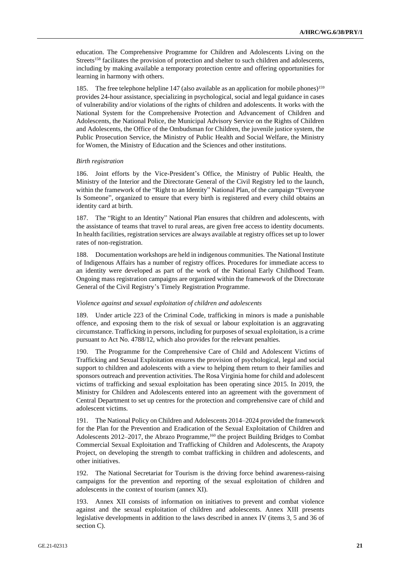education. The Comprehensive Programme for Children and Adolescents Living on the Streets<sup>158</sup> facilitates the provision of protection and shelter to such children and adolescents, including by making available a temporary protection centre and offering opportunities for learning in harmony with others.

185. The free telephone helpline 147 (also available as an application for mobile phones)<sup>159</sup> provides 24-hour assistance, specializing in psychological, social and legal guidance in cases of vulnerability and/or violations of the rights of children and adolescents. It works with the National System for the Comprehensive Protection and Advancement of Children and Adolescents, the National Police, the Municipal Advisory Service on the Rights of Children and Adolescents, the Office of the Ombudsman for Children, the juvenile justice system, the Public Prosecution Service, the Ministry of Public Health and Social Welfare, the Ministry for Women, the Ministry of Education and the Sciences and other institutions.

#### *Birth registration*

186. Joint efforts by the Vice-President's Office, the Ministry of Public Health, the Ministry of the Interior and the Directorate General of the Civil Registry led to the launch, within the framework of the "Right to an Identity" National Plan, of the campaign "Everyone Is Someone", organized to ensure that every birth is registered and every child obtains an identity card at birth.

187. The "Right to an Identity" National Plan ensures that children and adolescents, with the assistance of teams that travel to rural areas, are given free access to identity documents. In health facilities, registration services are always available at registry offices set up to lower rates of non-registration.

188. Documentation workshops are held in indigenous communities. The National Institute of Indigenous Affairs has a number of registry offices. Procedures for immediate access to an identity were developed as part of the work of the National Early Childhood Team. Ongoing mass registration campaigns are organized within the framework of the Directorate General of the Civil Registry's Timely Registration Programme.

## *Violence against and sexual exploitation of children and adolescents*

189. Under article 223 of the Criminal Code, trafficking in minors is made a punishable offence, and exposing them to the risk of sexual or labour exploitation is an aggravating circumstance. Trafficking in persons, including for purposes of sexual exploitation, is a crime pursuant to Act No. 4788/12, which also provides for the relevant penalties.

190. The Programme for the Comprehensive Care of Child and Adolescent Victims of Trafficking and Sexual Exploitation ensures the provision of psychological, legal and social support to children and adolescents with a view to helping them return to their families and sponsors outreach and prevention activities. The Rosa Virginia home for child and adolescent victims of trafficking and sexual exploitation has been operating since 2015. In 2019, the Ministry for Children and Adolescents entered into an agreement with the government of Central Department to set up centres for the protection and comprehensive care of child and adolescent victims.

191. The National Policy on Children and Adolescents 2014–2024 provided the framework for the Plan for the Prevention and Eradication of the Sexual Exploitation of Children and Adolescents 2012–2017, the Abrazo Programme,<sup>160</sup> the project Building Bridges to Combat Commercial Sexual Exploitation and Trafficking of Children and Adolescents, the Arapoty Project, on developing the strength to combat trafficking in children and adolescents, and other initiatives.

192. The National Secretariat for Tourism is the driving force behind awareness-raising campaigns for the prevention and reporting of the sexual exploitation of children and adolescents in the context of tourism (annex XI).

193. Annex XII consists of information on initiatives to prevent and combat violence against and the sexual exploitation of children and adolescents. Annex XIII presents legislative developments in addition to the laws described in annex IV (items 3, 5 and 36 of section C).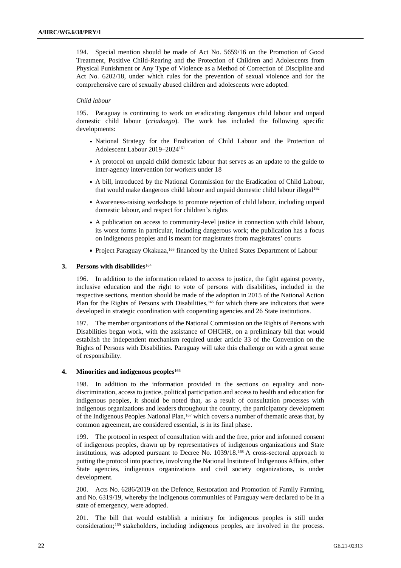194. Special mention should be made of Act No. 5659/16 on the Promotion of Good Treatment, Positive Child-Rearing and the Protection of Children and Adolescents from Physical Punishment or Any Type of Violence as a Method of Correction of Discipline and Act No. 6202/18, under which rules for the prevention of sexual violence and for the comprehensive care of sexually abused children and adolescents were adopted.

## *Child labour*

195. Paraguay is continuing to work on eradicating dangerous child labour and unpaid domestic child labour (*criadazgo*). The work has included the following specific developments:

- National Strategy for the Eradication of Child Labour and the Protection of Adolescent Labour 2019–2024<sup>161</sup>
- A protocol on unpaid child domestic labour that serves as an update to the guide to inter-agency intervention for workers under 18
- A bill, introduced by the National Commission for the Eradication of Child Labour, that would make dangerous child labour and unpaid domestic child labour illegal<sup>162</sup>
- Awareness-raising workshops to promote rejection of child labour, including unpaid domestic labour, and respect for children's rights
- A publication on access to community-level justice in connection with child labour, its worst forms in particular, including dangerous work; the publication has a focus on indigenous peoples and is meant for magistrates from magistrates' courts
- Project Paraguay Okakuaa,<sup>163</sup> financed by the United States Department of Labour

## **3. Persons with disabilities**<sup>164</sup>

196. In addition to the information related to access to justice, the fight against poverty, inclusive education and the right to vote of persons with disabilities, included in the respective sections, mention should be made of the adoption in 2015 of the National Action Plan for the Rights of Persons with Disabilities,<sup>165</sup> for which there are indicators that were developed in strategic coordination with cooperating agencies and 26 State institutions.

197. The member organizations of the National Commission on the Rights of Persons with Disabilities began work, with the assistance of OHCHR, on a preliminary bill that would establish the independent mechanism required under article 33 of the Convention on the Rights of Persons with Disabilities. Paraguay will take this challenge on with a great sense of responsibility.

# **4. Minorities and indigenous peoples**<sup>166</sup>

198. In addition to the information provided in the sections on equality and nondiscrimination, access to justice, political participation and access to health and education for indigenous peoples, it should be noted that, as a result of consultation processes with indigenous organizations and leaders throughout the country, the participatory development of the Indigenous Peoples National Plan,<sup>167</sup> which covers a number of thematic areas that, by common agreement, are considered essential, is in its final phase.

199. The protocol in respect of consultation with and the free, prior and informed consent of indigenous peoples, drawn up by representatives of indigenous organizations and State institutions, was adopted pursuant to Decree No. 1039/18.<sup>168</sup> A cross-sectoral approach to putting the protocol into practice, involving the National Institute of Indigenous Affairs, other State agencies, indigenous organizations and civil society organizations, is under development.

200. Acts No. 6286/2019 on the Defence, Restoration and Promotion of Family Farming, and No. 6319/19, whereby the indigenous communities of Paraguay were declared to be in a state of emergency, were adopted.

201. The bill that would establish a ministry for indigenous peoples is still under consideration;<sup>169</sup> stakeholders, including indigenous peoples, are involved in the process.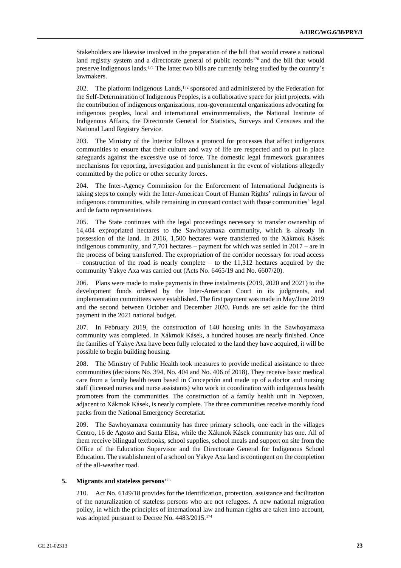Stakeholders are likewise involved in the preparation of the bill that would create a national land registry system and a directorate general of public records<sup>170</sup> and the bill that would preserve indigenous lands.<sup>171</sup> The latter two bills are currently being studied by the country's lawmakers.

202. The platform Indigenous Lands,<sup>172</sup> sponsored and administered by the Federation for the Self-Determination of Indigenous Peoples, is a collaborative space for joint projects, with the contribution of indigenous organizations, non-governmental organizations advocating for indigenous peoples, local and international environmentalists, the National Institute of Indigenous Affairs, the Directorate General for Statistics, Surveys and Censuses and the National Land Registry Service.

203. The Ministry of the Interior follows a protocol for processes that affect indigenous communities to ensure that their culture and way of life are respected and to put in place safeguards against the excessive use of force. The domestic legal framework guarantees mechanisms for reporting, investigation and punishment in the event of violations allegedly committed by the police or other security forces.

204. The Inter-Agency Commission for the Enforcement of International Judgments is taking steps to comply with the Inter-American Court of Human Rights' rulings in favour of indigenous communities, while remaining in constant contact with those communities' legal and de facto representatives.

205. The State continues with the legal proceedings necessary to transfer ownership of 14,404 expropriated hectares to the Sawhoyamaxa community, which is already in possession of the land. In 2016, 1,500 hectares were transferred to the Xákmok Kásek indigenous community, and 7,701 hectares – payment for which was settled in 2017 – are in the process of being transferred. The expropriation of the corridor necessary for road access  $-$  construction of the road is nearly complete  $-$  to the 11,312 hectares acquired by the community Yakye Axa was carried out (Acts No. 6465/19 and No. 6607/20).

206. Plans were made to make payments in three instalments (2019, 2020 and 2021) to the development funds ordered by the Inter-American Court in its judgments, and implementation committees were established. The first payment was made in May/June 2019 and the second between October and December 2020. Funds are set aside for the third payment in the 2021 national budget.

207. In February 2019, the construction of 140 housing units in the Sawhoyamaxa community was completed. In Xákmok Kásek, a hundred houses are nearly finished. Once the families of Yakye Axa have been fully relocated to the land they have acquired, it will be possible to begin building housing.

208. The Ministry of Public Health took measures to provide medical assistance to three communities (decisions No. 394, No. 404 and No. 406 of 2018). They receive basic medical care from a family health team based in Concepción and made up of a doctor and nursing staff (licensed nurses and nurse assistants) who work in coordination with indigenous health promoters from the communities. The construction of a family health unit in Nepoxen, adjacent to Xákmok Kásek, is nearly complete. The three communities receive monthly food packs from the National Emergency Secretariat.

209. The Sawhoyamaxa community has three primary schools, one each in the villages Centro, 16 de Agosto and Santa Elisa, while the Xákmok Kásek community has one. All of them receive bilingual textbooks, school supplies, school meals and support on site from the Office of the Education Supervisor and the Directorate General for Indigenous School Education. The establishment of a school on Yakye Axa land is contingent on the completion of the all-weather road.

#### **5. Migrants and stateless persons**<sup>173</sup>

210. Act No. 6149/18 provides for the identification, protection, assistance and facilitation of the naturalization of stateless persons who are not refugees. A new national migration policy, in which the principles of international law and human rights are taken into account, was adopted pursuant to Decree No. 4483/2015.174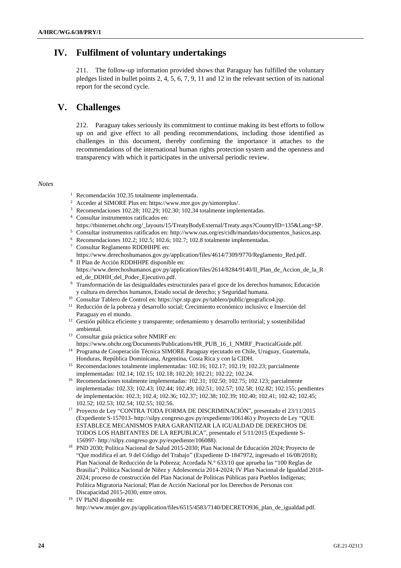# **IV. Fulfilment of voluntary undertakings**

211. The follow-up information provided shows that Paraguay has fulfilled the voluntary pledges listed in bullet points 2, 4, 5, 6, 7, 9, 11 and 12 in the relevant section of its national report for the second cycle.

# **V. Challenges**

212. Paraguay takes seriously its commitment to continue making its best efforts to follow up on and give effect to all pending recommendations, including those identified as challenges in this document, thereby confirming the importance it attaches to the recommendations of the international human rights protection system and the openness and transparency with which it participates in the universal periodic review.

## *Notes*

- <sup>1</sup> Recomendación 102.35 totalmente implementada.
- <sup>2</sup> Acceder al SIMORE Plus en: https://www.mre.gov.py/simoreplus/.
- <sup>3</sup> Recomendaciones 102.28; 102.29; 102.30; 102.34 totalmente implementadas.
- <sup>4</sup> Consultar instrumentos ratificados en:
- https://tbinternet.ohchr.org/\_layouts/15/TreatyBodyExternal/Treaty.aspx?CountryID=135&Lang=SP.
- <sup>5</sup> Consultar instrumentos ratificados en: http://www.oas.org/es/cidh/mandato/documentos\_basicos.asp.
- <sup>6</sup> Recomendaciones 102.2; 102.5; 102.6; 102.7; 102.8 totalmente implementadas.
- <sup>7</sup> Consultar Reglamento RDDHHPE en: https://www.derechoshumanos.gov.py/application/files/4614/7309/9770/Reglamento\_Red.pdf.
- 8 II Plan de Acción RDDHHPE disponible en: https://www.derechoshumanos.gov.py/application/files/2614/8284/9140/II\_Plan\_de\_Accion\_de\_la\_R ed\_de\_DDHH\_del\_Poder\_Ejecutivo.pdf.
- <sup>9</sup> Transformación de las desigualdades estructurales para el goce de los derechos humanos; Educación y cultura en derechos humanos, Estado social de derecho; y Seguridad humana.
- <sup>10</sup> Consultar Tablero de Control en: https://spr.stp.gov.py/tablero/public/geografico4.jsp.
- <sup>11</sup> Reducción de la pobreza y desarrollo social; Crecimiento económico inclusivo; e Inserción del Paraguay en el mundo.
- <sup>12</sup> Gestión pública eficiente y transparente; ordenamiento y desarrollo territorial; y sostenibilidad ambiental.
- <sup>13</sup> Consultar guía práctica sobre NMIRF en:

https://www.ohchr.org/Documents/Publications/HR\_PUB\_16\_1\_NMRF\_PracticalGuide.pdf. <sup>14</sup> Programa de Cooperación Técnica SIMORE Paraguay ejecutado en Chile, Uruguay, Guatemala,

- Honduras, República Dominicana, Argentina, Costa Rica y con la CIDH.
- <sup>15</sup> Recomendaciones totalmente implementadas: 102.16; 102.17; 102.19; 102.23; parcialmente implementadas: 102.14; 102.15; 102.18; 102.20; 102.21; 102.22; 102.24.
- <sup>16</sup> Recomendaciones totalmente implementadas: 102.31; 102.50; 102.75; 102.123; parcialmente implementadas: 102.33; 102.43; 102.44; 102.49; 102.51; 102.57; 102.58; 102.82; 102.155; pendientes de implementación: 102.3; 102.4; 102.36; 102.37; 102.38; 102.39; 102.40; 102.41; 102.42; 102.45; 102.52; 102.53; 102.54; 102.55; 102.56.
- <sup>17</sup> Proyecto de Ley "CONTRA TODA FORMA DE DISCRIMINACIÓN", presentado el 23/11/2015 (Expediente S-157013- http://silpy.congreso.gov.py/expediente/106146) y Proyecto de Ley "QUE ESTABLECE MECANISMOS PARA GARANTIZAR LA IGUALDAD DE DERECHOS DE TODOS LOS HABITANTES DE LA REPUBLICA", presentado el 5/11/2015 (Expediente S-156997- http://silpy.congreso.gov.py/expediente/106088).
- <sup>18</sup> PND 2030; Política Nacional de Salud 2015-2030; Plan Nacional de Educación 2024; Proyecto de "Que modifica el art. 9 del Código del Trabajo" (Expediente D-1847972, ingresado el 16/08/2018); Plan Nacional de Reducción de la Pobreza; Acordada N.° 633/10 que aprueba las "100 Reglas de Brasilia"; Política Nacional de Niñez y Adolescencia 2014-2024; IV Plan Nacional de Igualdad 2018- 2024; proceso de construcción del Plan Nacional de Políticas Públicas para Pueblos Indígenas; Política Migratoria Nacional; Plan de Acción Nacional por los Derechos de Personas con Discapacidad 2015-2030, entre otros.
- <sup>19</sup> IV PlaNI disponible en: http://www.mujer.gov.py/application/files/6515/4583/7140/DECRETO936\_plan\_de\_igualdad.pdf.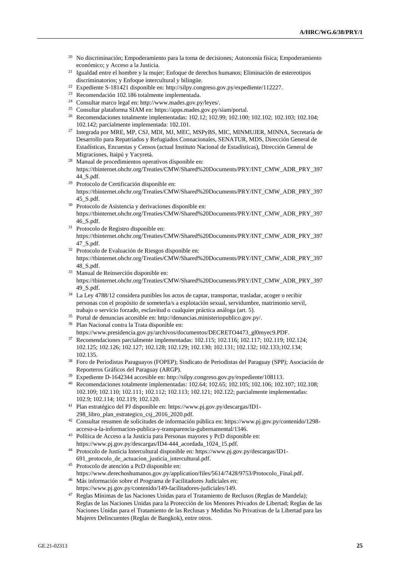- <sup>20</sup> No discriminación; Empoderamiento para la toma de decisiones; Autonomía física; Empoderamiento económico; y Acceso a la Justicia.
- <sup>21</sup> Igualdad entre el hombre y la mujer; Enfoque de derechos humanos; Eliminación de estereotipos discriminatorios; y Enfoque intercultural y bilingüe.
- <sup>22</sup> Expediente S-181421 disponible en: http://silpy.congreso.gov.py/expediente/112227.
- <sup>23</sup> Recomendación 102.186 totalmente implementada.
- <sup>24</sup> Consultar marco legal en: http://www.mades.gov.py/leyes/.
- <sup>25</sup> Consultar plataforma SIAM en: https://apps.mades.gov.py/siam/portal.
- <sup>26</sup> Recomendaciones totalmente implementadas: 102.12; 102.99; 102.100; 102.102; 102.103; 102.104; 102.142; parcialmente implementada: 102.101.
- <sup>27</sup> Integrada por MRE, MP, CSJ, MDI, MJ, MEC, MSPyBS, MIC, MINMUJER, MINNA, Secretaría de Desarrollo para Repatriados y Refugiados Connacionales, SENATUR, MDS, Dirección General de Estadísticas, Encuestas y Censos (actual Instituto Nacional de Estadísticas), Dirección General de Migraciones, Itaipú y Yacyretá.
- <sup>28</sup> Manual de procedimientos operativos disponible en: https://tbinternet.ohchr.org/Treaties/CMW/Shared%20Documents/PRY/INT\_CMW\_ADR\_PRY\_397 44\_S.pdf.
- <sup>29</sup> Protocolo de Certificación disponible en: https://tbinternet.ohchr.org/Treaties/CMW/Shared%20Documents/PRY/INT\_CMW\_ADR\_PRY\_397 45\_S.pdf.
- <sup>30</sup> Protocolo de Asistencia y derivaciones disponible en: https://tbinternet.ohchr.org/Treaties/CMW/Shared%20Documents/PRY/INT\_CMW\_ADR\_PRY\_397 46\_S.pdf.
- <sup>31</sup> Protocolo de Registro disponible en: https://tbinternet.ohchr.org/Treaties/CMW/Shared%20Documents/PRY/INT\_CMW\_ADR\_PRY\_397 47\_S.pdf.
- <sup>32</sup> Protocolo de Evaluación de Riesgos disponible en: https://tbinternet.ohchr.org/Treaties/CMW/Shared%20Documents/PRY/INT\_CMW\_ADR\_PRY\_397 48\_S.pdf.
- <sup>33</sup> Manual de Reinserción disponible en: https://tbinternet.ohchr.org/Treaties/CMW/Shared%20Documents/PRY/INT\_CMW\_ADR\_PRY\_397 49\_S.pdf.
- <sup>34</sup> La Ley 4788/12 considera punibles los actos de captar, transportar, trasladar, acoger o recibir personas con el propósito de someterla/s a explotación sexual, servidumbre, matrimonio servil, trabajo o servicio forzado, esclavitud o cualquier práctica análoga (art. 5).
- <sup>35</sup> Portal de denuncias accesible en: http://denuncias.ministeriopublico.gov.py/.
- <sup>36</sup> Plan Nacional contra la Trata disponible en:
	- https://www.presidencia.gov.py/archivos/documentos/DECRETO4473\_gl0myec9.PDF.
- <sup>37</sup> Recomendaciones parcialmente implementadas: 102.115; 102.116; 102.117; 102.119; 102.124; 102.125; 102.126; 102.127; 102.128; 102.129; 102.130; 102.131; 102.132; 102.133;102.134; 102.135.
- <sup>38</sup> Foro de Periodistas Paraguayos (FOPEP); Sindicato de Periodistas del Paraguay (SPP); Asociación de Reporteros Gráficos del Paraguay (ARGP).
- <sup>39</sup> Expediente D-1642344 accesible en: http://silpy.congreso.gov.py/expediente/108113.
- <sup>40</sup> Recomendaciones totalmente implementadas: 102.64; 102.65; 102.105; 102.106; 102.107; 102.108; 102.109; 102.110; 102.111; 102.112; 102.113; 102.121; 102.122; parcialmente implementadas: 102.9; 102.114; 102.119; 102.120.
- <sup>41</sup> Plan estratégico del PJ disponible en: https://www.pj.gov.py/descargas/ID1- 298\_libro\_plan\_estrategico\_csj\_2016\_2020.pdf.
- <sup>42</sup> Consultar resumen de solicitudes de información pública en: https://www.pj.gov.py/contenido/1298 acceso-a-la-informacion-publica-y-transparencia-gubernamental/1346.
- <sup>43</sup> Política de Acceso a la Justicia para Personas mayores y PcD disponible en: https://www.pj.gov.py/descargas/ID4-444\_acordada\_1024\_15.pdf.
- <sup>44</sup> Protocolo de Justicia Intercultural disponible en: https://www.pj.gov.py/descargas/ID1- 691 protocolo de actuacion justicia intercultural.pdf.
- <sup>45</sup> Protocolo de atención a PcD disponible en: https://www.derechoshumanos.gov.py/application/files/5614/7428/9753/Protocolo\_Final.pdf.
- <sup>46</sup> Más información sobre el Programa de Facilitadores Judiciales en: https://www.pj.gov.py/contenido/149-facilitadores-judiciales/149.
- <sup>47</sup> Reglas Mínimas de las Naciones Unidas para el Tratamiento de Reclusos (Reglas de Mandela); Reglas de las Naciones Unidas para la Protección de los Menores Privados de Libertad; Reglas de las Naciones Unidas para el Tratamiento de las Reclusas y Medidas No Privativas de la Libertad para las Mujeres Delincuentes (Reglas de Bangkok), entre otros.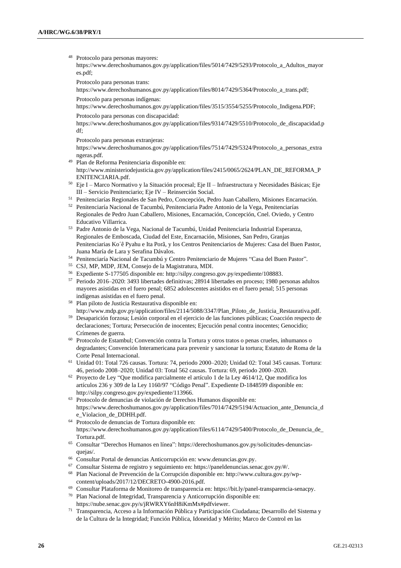- Protocolo para personas mayores: https://www.derechoshumanos.gov.py/application/files/5014/7429/5293/Protocolo\_a\_Adultos\_mayor es.pdf;
	- Protocolo para personas trans:

https://www.derechoshumanos.gov.py/application/files/8014/7429/5364/Protocolo\_a\_trans.pdf; Protocolo para personas indígenas:

https://www.derechoshumanos.gov.py/application/files/3515/3554/5255/Protocolo\_Indigena.PDF;

Protocolo para personas con discapacidad:

https://www.derechoshumanos.gov.py/application/files/9314/7429/5510/Protocolo\_de\_discapacidad.p df;

Protocolo para personas extranjeras:

https://www.derechoshumanos.gov.py/application/files/7514/7429/5324/Protocolo\_a\_personas\_extra ngeras.pdf.

- <sup>49</sup> Plan de Reforma Penitenciaria disponible en: http://www.ministeriodejusticia.gov.py/application/files/2415/0065/2624/PLAN\_DE\_REFORMA\_P ENITENCIARIA.pdf.
- <sup>50</sup> Eje I Marco Normativo y la Situación procesal; Eje II Infraestructura y Necesidades Básicas; Eje III – Servicio Penitenciario; Eje IV – Reinserción Social.
- <sup>51</sup> Penitenciarías Regionales de San Pedro, Concepción, Pedro Juan Caballero, Misiones Encarnación.
- <sup>52</sup> Penitenciaría Nacional de Tacumbú, Penitenciaria Padre Antonio de la Vega, Penitenciarías Regionales de Pedro Juan Caballero, Misiones, Encarnación, Concepción, Cnel. Oviedo, y Centro Educativo Villarrica.
- <sup>53</sup> Padre Antonio de la Vega, Nacional de Tacumbú, Unidad Penitenciaria Industrial Esperanza, Regionales de Emboscada, Ciudad del Este, Encarnación, Misiones, San Pedro, Granjas Penitenciarias Ko´ê Pyahu e Ita Porã, y los Centros Penitenciarios de Mujeres: Casa del Buen Pastor, Juana María de Lara y Serafina Dávalos.
- <sup>54</sup> Penitenciaría Nacional de Tacumbú y Centro Penitenciario de Mujeres "Casa del Buen Pastor".
- <sup>55</sup> CSJ, MP, MDP, JEM, Consejo de la Magistratura, MDI.
- <sup>56</sup> Expediente S-177505 disponible en: http://silpy.congreso.gov.py/expediente/108883.
- <sup>57</sup> Periodo 2016–2020: 3493 libertades definitivas; 28914 libertades en proceso; 1980 personas adultos mayores asistidas en el fuero penal; 6852 adolescentes asistidos en el fuero penal; 515 personas indígenas asistidas en el fuero penal.
- <sup>58</sup> Plan piloto de Justicia Restaurativa disponible en:
- http://www.mdp.gov.py/application/files/2114/5088/3347/Plan\_Piloto\_de\_Justicia\_Restaurativa.pdf. <sup>59</sup> Desaparición forzosa; Lesión corporal en el ejercicio de las funciones públicas; Coacción respecto de declaraciones; Tortura; Persecución de inocentes; Ejecución penal contra inocentes; Genocidio; Crímenes de guerra.
- <sup>60</sup> Protocolo de Estambul; Convención contra la Tortura y otros tratos o penas crueles, inhumanos o degradantes; Convención Interamericana para prevenir y sancionar la tortura; Estatuto de Roma de la Corte Penal Internacional.
- <sup>61</sup> Unidad 01: Total 726 causas. Tortura: 74, periodo 2000–2020; Unidad 02: Total 345 causas. Tortura: 46, periodo 2008–2020; Unidad 03: Total 562 causas. Tortura: 69, periodo 2000–2020.
- $62$  Proyecto de Ley "Que modifica parcialmente el artículo 1 de la Ley 4614/12, Que modifica los artículos 236 y 309 de la Ley 1160/97 "Código Penal". Expediente D-1848599 disponible en: http://silpy.congreso.gov.py/expediente/113966.
- <sup>63</sup> Protocolo de denuncias de violación de Derechos Humanos disponible en: https://www.derechoshumanos.gov.py/application/files/7014/7429/5194/Actuacion\_ante\_Denuncia\_d e\_Violacion\_de\_DDHH.pdf.
- <sup>64</sup> Protocolo de denuncias de Tortura disponible en: https://www.derechoshumanos.gov.py/application/files/6114/7429/5400/Protocolo\_de\_Denuncia\_de\_ Tortura.pdf.
- <sup>65</sup> Consultar "Derechos Humanos en línea": https://derechoshumanos.gov.py/solicitudes-denunciasquejas/.
- <sup>66</sup> Consultar Portal de denuncias Anticorrupción en: www.denuncias.gov.py.
- $^{67}$  Consultar Sistema de registro y seguimiento en: https://paneldenuncias.senac.gov.py/#/.
- <sup>68</sup> Plan Nacional de Prevención de la Corrupción disponible en: http://www.cultura.gov.py/wpcontent/uploads/2017/12/DECRETO-4900-2016.pdf.
- <sup>69</sup> Consultar Plataforma de Monitoreo de transparencia en: https://bit.ly/panel-transparencia-senacpy.
- <sup>70</sup> Plan Nacional de Integridad, Transparencia y Anticorrupción disponible en: https://nube.senac.gov.py/s/jRWRXY6nH8iKmMx#pdfviewer.
- <sup>71</sup> Transparencia, Acceso a la Información Pública y Participación Ciudadana; Desarrollo del Sistema y de la Cultura de la Integridad; Función Pública, Idoneidad y Mérito; Marco de Control en las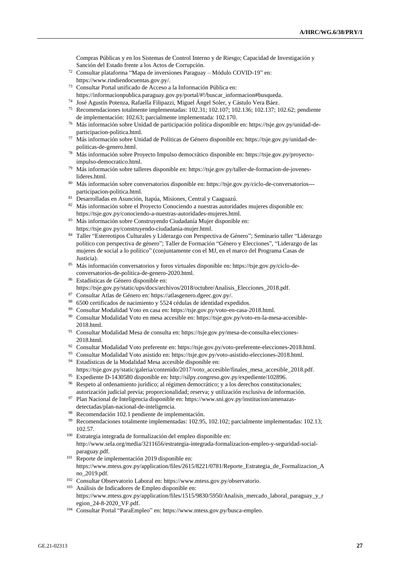Compras Públicas y en los Sistemas de Control Interno y de Riesgo; Capacidad de Investigación y Sanción del Estado frente a los Actos de Corrupción.

- <sup>72</sup> Consultar plataforma "Mapa de inversiones Paraguay Módulo COVID-19" en: https://www.rindiendocuentas.gov.py/.
- <sup>73</sup> Consultar Portal unificado de Acceso a la Información Pública en:
- https://informacionpublica.paraguay.gov.py/portal/#!/buscar\_informacion#busqueda. <sup>74</sup> José Agustín Potenza, Rafaella Filipazzi, Miguel Ángel Soler, y Cástulo Vera Báez.
- <sup>75</sup> Recomendaciones totalmente implementadas: 102.31; 102.107; 102.136; 102.137; 102.62; pendiente de implementación: 102.63; parcialmente implementada: 102.170.
- <sup>76</sup> Más información sobre Unidad de participación política disponible en: https://tsje.gov.py/unidad-departicipacion-politica.html.
- <sup>77</sup> Más información sobre Unidad de Políticas de Género disponible en: https://tsje.gov.py/unidad-depoliticas-de-genero.html.
- <sup>78</sup> Más información sobre Proyecto Impulso democrático disponible en: https://tsje.gov.py/proyectoimpulso-democratico.html.
- <sup>79</sup> Más información sobre talleres disponible en: https://tsje.gov.py/taller-de-formacion-de-joveneslideres.html.
- <sup>80</sup> Más información sobre conversatorios disponible en: https://tsje.gov.py/ciclo-de-conversatorios-- participacion-politica.html.
- <sup>81</sup> Desarrolladas en Asunción, Itapúa, Misiones, Central y Caaguazú.
- 82 Más información sobre el Proyecto Conociendo a nuestras autoridades mujeres disponible en: https://tsje.gov.py/conociendo-a-nuestras-autoridades-mujeres.html.
- 83 Más información sobre Construyendo Ciudadanía Mujer disponible en: https://tsje.gov.py/construyendo-ciudadania-mujer.html.
- <sup>84</sup> Taller "Estereotipos Culturales y Liderazgo con Perspectiva de Género"; Seminario taller "Liderazgo político con perspectiva de género"; Taller de Formación "Género y Elecciones", "Liderazgo de las mujeres de social a lo político" (conjuntamente con el MJ, en el marco del Programa Casas de Justicia).
- <sup>85</sup> Más información conversatorios y foros virtuales disponible en: https://tsje.gov.py/ciclo-deconversatorios-de-politica-de-genero-2020.html.
- <sup>86</sup> Estadísticas de Género disponible en: https://tsje.gov.py/static/ups/docs/archivos/2018/octubre/Analisis\_Elecciones\_2018.pdf.
- <sup>87</sup> Consultar Atlas de Género en: https://atlasgenero.dgeec.gov.py/.
- <sup>88</sup> 6500 certificados de nacimiento y 5524 cédulas de identidad expedidos.
- <sup>89</sup> Consultar Modalidad Voto en casa en: https://tsje.gov.py/voto-en-casa-2018.html.
- <sup>90</sup> Consultar Modalidad Voto en mesa accesible en: https://tsje.gov.py/voto-en-la-mesa-accesible-2018.html.
- <sup>91</sup> Consultar Modalidad Mesa de consulta en: https://tsje.gov.py/mesa-de-consulta-elecciones-2018.html.
- 92 Consultar Modalidad Voto preferente en: https://tsje.gov.py/voto-preferente-elecciones-2018.html.
- <sup>93</sup> Consultar Modalidad Voto asistido en: https://tsje.gov.py/voto-asistido-elecciones-2018.html.
- <sup>94</sup> Estadísticas de la Modalidad Mesa accesible disponible en:
- https://tsje.gov.py/static/galeria/contenido/2017/voto\_accesible/finales\_mesa\_accesible\_2018.pdf. <sup>95</sup> Expediente D-1430580 disponible en: http://silpy.congreso.gov.py/expediente/102896.
- <sup>96</sup> Respeto al ordenamiento jurídico; al régimen democrático; y a los derechos constitucionales; autorización judicial previa; proporcionalidad; reserva; y utilización exclusiva de información.
- <sup>97</sup> Plan Nacional de Inteligencia disponible en: https://www.sni.gov.py/institucion/amenazasdetectadas/plan-nacional-de-inteligencia.
- <sup>98</sup> Recomendación 102.1 pendiente de implementación.<br><sup>99</sup> Pesamendaciones tatelmenta implementadas: 102.05
- <sup>99</sup> Recomendaciones totalmente implementadas: 102.95, 102.102; parcialmente implementadas: 102.13; 102.57.
- <sup>100</sup> Estrategia integrada de formalización del empleo disponible en: http://www.sela.org/media/3211656/estrategia-integrada-formalizacion-empleo-y-seguridad-socialparaguay.pdf.
- <sup>101</sup> Reporte de implementación 2019 disponible en: https://www.mtess.gov.py/application/files/2615/8221/0781/Reporte\_Estrategia\_de\_Formalizacion\_A no\_2019.pdf.
- <sup>102</sup> Consultar Observatorio Laboral en: https://www.mtess.gov.py/observatorio.
- <sup>103</sup> Análisis de Indicadores de Empleo disponible en: https://www.mtess.gov.py/application/files/1515/9830/5950/Analisis\_mercado\_laboral\_paraguay\_y\_r egion\_24-8-2020\_VF.pdf.
- <sup>104</sup> Consultar Portal "ParaEmpleo" en: https://www.mtess.gov.py/busca-empleo.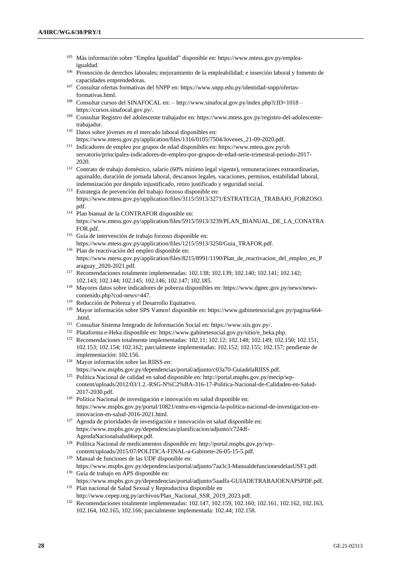- <sup>105</sup> Más información sobre "Emplea Igualdad" disponible en: https://www.mtess.gov.py/empleaigualdad.
- <sup>106</sup> Promoción de derechos laborales; mejoramiento de la empleabilidad; e inserción laboral y fomento de capacidades emprendedoras.
- <sup>107</sup> Consultar ofertas formativas del SNPP en: https://www.snpp.edu.py/identidad-snpp/ofertasformativas.html.
- <sup>108</sup> Consultar cursos del SINAFOCAL en: http://www.sinafocal.gov.py/index.php?cID=1018 https://cursos.sinafocal.gov.py/.
- <sup>109</sup> Consultar Registro del adolescente trabajador en: https://www.mtess.gov.py/registro-del-adolescentetrabajador.
- <sup>110</sup> Datos sobre jóvenes en el mercado laboral disponibles en:
- https://www.mtess.gov.py/application/files/1316/0105/7504/Jovenes\_21-09-2020.pdf.
- <sup>111</sup> Indicadores de empleo por grupos de edad disponibles en: https://www.mtess.gov.py/ob servatorio/principales-indicadores-de-empleo-por-grupos-de-edad-serie-trimestral-periodo-2017- 2020.
- <sup>112</sup> Contrato de trabajo doméstico, salario (60% mínimo legal vigente), remuneraciones extraordinarias, aguinaldo, duración de jornada laboral, descansos legales, vacaciones, permisos, estabilidad laboral, indemnización por despido injustificado, retiro justificado y seguridad social.
- <sup>113</sup> Estrategia de prevención del trabajo forzoso disponible en: https://www.mtess.gov.py/application/files/3115/5913/3271/ESTRATEGIA\_TRABAJO\_FORZOSO. pdf.
- <sup>114</sup> Plan bianual de la CONTRAFOR disponible en: https://www.mtess.gov.py/application/files/5915/5913/3239/PLAN\_BIANUAL\_DE\_LA\_CONATRA FOR.pdf.
- <sup>115</sup> Guía de intervención de trabajo forzoso disponible en: https://www.mtess.gov.py/application/files/1215/5913/3250/Guia\_TRAFOR.pdf.
- <sup>116</sup> Plan de reactivación del empleo disponible en: https://www.mtess.gov.py/application/files/8215/8991/1190/Plan\_de\_reactivacion\_del\_empleo\_en\_P araguay\_2020-2021.pdf.
- <sup>117</sup> Recomendaciones totalmente implementadas: 102.138; 102.139; 102.140; 102.141; 102.142; 102.143; 102.144; 102.145; 102.146; 102.147; 102.185.
- <sup>118</sup> Mayores datos sobre indicadores de pobreza disponibles en: https://www.dgeec.gov.py/news/newscontenido.php?cod-news=447.
- <sup>119</sup> Reducción de Pobreza y el Desarrollo Equitativo.
- <sup>120</sup> Mayor información sobre SPS Vamos! disponible en: https://www.gabinetesocial.gov.py/pagina/664- .html.
- <sup>121</sup> Consultar Sistema Integrado de Información Social en: https://www.siis.gov.py/.
- <sup>122</sup> Plataforma e-Heka disponible en: https://www.gabinetesocial.gov.py/sitio/e\_heka.php.
- <sup>123</sup> Recomendaciones totalmente implementadas: 102.11; 102.12; 102.148; 102.149; 102.150; 102.151; 102.153; 102.154; 102.162; parcialmente implementadas: 102.152; 102.155; 102.157; pendiente de implementación: 102.156.
- <sup>124</sup> Mayor información sobre las RIISS en: https://www.mspbs.gov.py/dependencias/portal/adjunto/c03a70-GuiadelaRIISS.pdf.
- <sup>125</sup> Política Nacional de calidad en salud disponible en: http://portal.mspbs.gov.py/mecip/wpcontent/uploads/2012/03/1.2.-RSG-N%C2%BA-316-17-Politica-Nacional-de-Calidaden-en-Salud-2017-2030.pdf.
- <sup>126</sup> Política Nacional de investigación e innovación en salud disponible en: https://www.mspbs.gov.py/portal/10821/entra-en-vigencia-la-politica-nacional-de-investigacion-eninnovacion-en-salud-2016-2021.html.
- $127$  Agenda de prioridades de investigación e innovación en salud disponible en: https://www.mspbs.gov.py/dependencias/planificacion/adjunto/c724df-AgendaNacionalsalud4sept.pdf.
- <sup>128</sup> Política Nacional de medicamentos disponible en: http://portal.mspbs.gov.py/wpcontent/uploads/2015/07/POLITICA-FINAL-a-Gabinete-26-05-15-5.pdf.
- <sup>129</sup> Manual de funciones de las UDF disponible en: https://www.mspbs.gov.py/dependencias/portal/adjunto/7aa3c3-ManualdefuncionesdelasUSF1.pdf.
- <sup>130</sup> Guía de trabajo en APS disponible en: https://www.mspbs.gov.py/dependencias/portal/adjunto/5aadfa-GUIADETRABAJOENAPSPDF.pdf.
- <sup>131</sup> Plan nacional de Salud Sexual y Reproductiva disponible en http://www.cepep.org.py/archivos/Plan\_Nacional\_SSR\_2019\_2023.pdf.
- <sup>132</sup> Recomendaciones totalmente implementadas: 102.147, 102.159, 102.160; 102.161, 102.162, 102.163, 102.164, 102.165, 102.166; parcialmente implementada: 102.44; 102.158.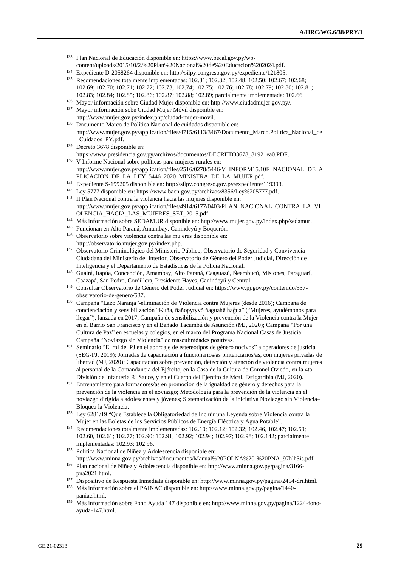- <sup>133</sup> Plan Nacional de Educación disponible en: https://www.becal.gov.py/wpcontent/uploads/2015/10/2.%20Plan%20Nacional%20de%20Educacion%202024.pdf.
- <sup>134</sup> Expediente D-2058264 disponible en: http://silpy.congreso.gov.py/expediente/121805.
- <sup>135</sup> Recomendaciones totalmente implementadas: 102.31; 102.32; 102.48; 102.50; 102.67; 102.68; 102.69; 102.70; 102.71; 102.72; 102.73; 102.74; 102.75; 102.76; 102.78; 102.79; 102.80; 102.81; 102.83; 102.84; 102.85; 102.86; 102.87; 102.88; 102.89; parcialmente implementada: 102.66.
- <sup>136</sup> Mayor información sobre Ciudad Mujer disponible en: http://www.ciudadmujer.gov.py/.
- <sup>137</sup> Mayor información sobe Ciudad Mujer Móvil disponible en: http://www.mujer.gov.py/index.php/ciudad-mujer-movil.
- <sup>138</sup> Documento Marco de Política Nacional de cuidados disponible en: http://www.mujer.gov.py/application/files/4715/6113/3467/Documento\_Marco.Politica\_Nacional\_de \_Cuidados\_PY.pdf.
- <sup>139</sup> Decreto 3678 disponible en:

https://www.presidencia.gov.py/archivos/documentos/DECRETO3678\_81921ea0.PDF.

- <sup>140</sup> V Informe Nacional sobre políticas para mujeres rurales en: http://www.mujer.gov.py/application/files/2516/0278/5446/V\_INFORM15.10E\_NACIONAL\_DE\_A PLICACION\_DE\_LA\_LEY\_5446\_2020\_MINISTRA\_DE\_LA\_MUJER.pdf.
- <sup>141</sup> Expediente S-199205 disponible en: http://silpy.congreso.gov.py/expediente/119393.
- <sup>142</sup> Ley 5777 disponible en: https://www.bacn.gov.py/archivos/8356/Ley%205777.pdf.
- <sup>143</sup> II Plan Nacional contra la violencia hacia las mujeres disponible en: http://www.mujer.gov.py/application/files/4914/6177/0403/PLAN\_NACIONAL\_CONTRA\_LA\_VI OLENCIA\_HACIA\_LAS\_MUJERES\_SET\_2015.pdf.
- <sup>144</sup> Más información sobre SEDAMUR disponible en: http://www.mujer.gov.py/index.php/sedamur.
- <sup>145</sup> Funcionan en Alto Paraná, Amambay, Canindeyú y Boquerón.
- <sup>146</sup> Observatorio sobre violencia contra las mujeres disponible en: http://observatorio.mujer.gov.py/index.php.
- <sup>147</sup> Observatorio Criminológico del Ministerio Público, Observatorio de Seguridad y Convivencia Ciudadana del Ministerio del Interior, Observatorio de Género del Poder Judicial, Dirección de Inteligencia y el Departamento de Estadísticas de la Policía Nacional.
- <sup>148</sup> Guairá, Itapúa, Concepción, Amambay, Alto Paraná, Caaguazú, Ñeembucú, Misiones, Paraguarí, Caazapá, San Pedro, Cordillera, Presidente Hayes, Canindeyú y Central.
- <sup>149</sup> Consultar Observatorio de Género del Poder Judicial en: https://www.pj.gov.py/contenido/537 observatorio-de-genero/537.
- <sup>150</sup> Campaña "Lazo Naranja"-eliminación de Violencia contra Mujeres (desde 2016); Campaña de concienciación y sensibilización "Kuña, ñañopytyvõ ñaguahẽ hag̃ua" ("Mujeres, ayudémonos para llegar"), lanzada en 2017; Campaña de sensibilización y prevención de la Violencia contra la Mujer en el Barrio San Francisco y en el Bañado Tacumbú de Asunción (MJ, 2020); Campaña "Por una Cultura de Paz" en escuelas y colegios, en el marco del Programa Nacional Casas de Justicia; Campaña "Noviazgo sin Violencia" de masculinidades positivas.
- <sup>151</sup> Seminario "El rol del PJ en el abordaje de estereotipos de género nocivos" a operadores de justicia (SEG-PJ, 2019); Jornadas de capacitación a funcionarios/as pnitenciarios/as, con mujeres privadas de libertad (MJ, 2020); Capacitación sobre prevención, detección y atención de violencia contra mujeres al personal de la Comandancia del Ejército, en la Casa de la Cultura de Coronel Oviedo, en la 4ta División de Infantería RI Sauce, y en el Cuerpo del Ejercito de Mcal. Estigarribia (MJ, 2020).
- <sup>152</sup> Entrenamiento para formadores/as en promoción de la igualdad de género y derechos para la prevención de la violencia en el noviazgo; Metodología para la prevención de la violencia en el noviazgo dirigida a adolescentes y jóvenes; Sistematización de la iniciativa Noviazgo sin Violencia– Bloquea la Violencia.
- <sup>153</sup> Ley 6281/19 "Que Establece la Obligatoriedad de Incluir una Leyenda sobre Violencia contra la Mujer en las Boletas de los Servicios Públicos de Energía Eléctrica y Agua Potable".
- <sup>154</sup> Recomendaciones totalmente implementadas: 102.10; 102.12; 102.32; 102.46, 102.47; 102.59; 102.60, 102.61; 102.77; 102.90; 102.91; 102.92; 102.94; 102.97; 102.98; 102.142; parcialmente implementadas: 102.93; 102.96.
- <sup>155</sup> Política Nacional de Niñez y Adolescencia disponible en: http://www.minna.gov.py/archivos/documentos/Manual%20POLNA%20-%20PNA\_97hlh3is.pdf.
- <sup>156</sup> Plan nacional de Niñez y Adolescencia disponible en: http://www.minna.gov.py/pagina/3166 pna2021.html.
- <sup>157</sup> Dispositivo de Respuesta Inmediata disponible en: http://www.minna.gov.py/pagina/2454-dri.html.
- <sup>158</sup> Más información sobre el PAINAC disponible en: http://www.minna.gov.py/pagina/1440 paniac.html.
- <sup>159</sup> Más información sobre Fono Ayuda 147 disponible en: http://www.minna.gov.py/pagina/1224-fonoayuda-147.html.